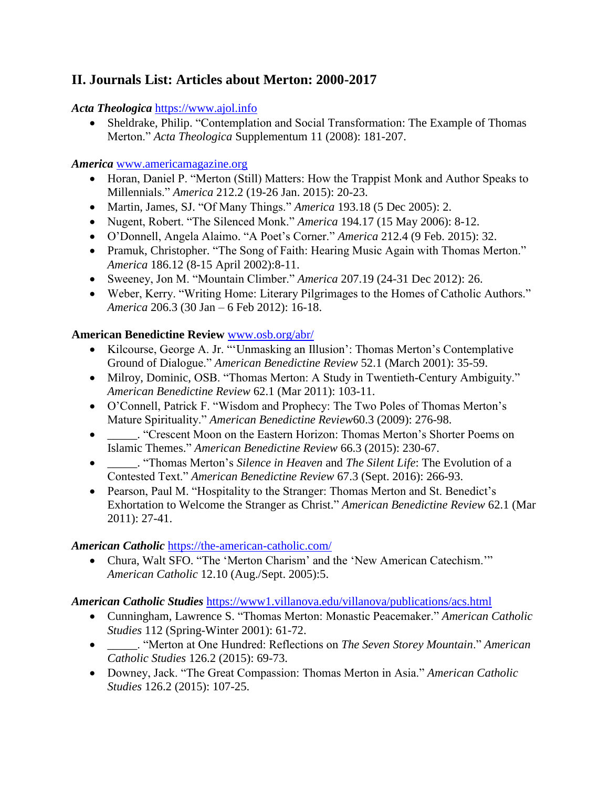# **II. Journals List: Articles about Merton: 2000-2017**

# *Acta Theologica* [https://www.ajol.info](https://www.ajol.info/)

 Sheldrake, Philip. "Contemplation and Social Transformation: The Example of Thomas Merton." *Acta Theologica* Supplementum 11 (2008): 181-207.

### *America* [www.americamagazine.org](http://www.americamagazine.org/)

- Horan, Daniel P. "Merton (Still) Matters: How the Trappist Monk and Author Speaks to Millennials." *America* 212.2 (19-26 Jan. 2015): 20-23.
- Martin, James, SJ. "Of Many Things." *America* 193.18 (5 Dec 2005): 2.
- Nugent, Robert. "The Silenced Monk." *America* 194.17 (15 May 2006): 8-12.
- O'Donnell, Angela Alaimo. "A Poet's Corner." *America* 212.4 (9 Feb. 2015): 32.
- Pramuk, Christopher. "The Song of Faith: Hearing Music Again with Thomas Merton." *America* 186.12 (8-15 April 2002):8-11.
- Sweeney, Jon M. "Mountain Climber." *America* 207.19 (24-31 Dec 2012): 26.
- Weber, Kerry. "Writing Home: Literary Pilgrimages to the Homes of Catholic Authors." *America* 206.3 (30 Jan – 6 Feb 2012): 16-18.

# **American Benedictine Review** [www.osb.org/abr/](http://www.osb.org/abr/)

- Kilcourse, George A. Jr. "'Unmasking an Illusion': Thomas Merton's Contemplative Ground of Dialogue." *American Benedictine Review* 52.1 (March 2001): 35-59.
- Milroy, Dominic, OSB. "Thomas Merton: A Study in Twentieth-Century Ambiguity." *American Benedictine Review* 62.1 (Mar 2011): 103-11.
- O'Connell, Patrick F. "Wisdom and Prophecy: The Two Poles of Thomas Merton's Mature Spirituality." *American Benedictine Review*60.3 (2009): 276-98.
- \_\_\_\_\_. "Crescent Moon on the Eastern Horizon: Thomas Merton's Shorter Poems on Islamic Themes." *American Benedictine Review* 66.3 (2015): 230-67.
- \_\_\_\_\_. "Thomas Merton's *Silence in Heaven* and *The Silent Life*: The Evolution of a Contested Text." *American Benedictine Review* 67.3 (Sept. 2016): 266-93.
- Pearson, Paul M. "Hospitality to the Stranger: Thomas Merton and St. Benedict's Exhortation to Welcome the Stranger as Christ." *American Benedictine Review* 62.1 (Mar 2011): 27-41.

# *American Catholic* <https://the-american-catholic.com/>

 Chura, Walt SFO. "The 'Merton Charism' and the 'New American Catechism.'" *American Catholic* 12.10 (Aug./Sept. 2005):5.

# *American Catholic Studies* <https://www1.villanova.edu/villanova/publications/acs.html>

- Cunningham, Lawrence S. "Thomas Merton: Monastic Peacemaker." *American Catholic Studies* 112 (Spring-Winter 2001): 61-72.
- \_\_\_\_\_. "Merton at One Hundred: Reflections on *The Seven Storey Mountain*." *American Catholic Studies* 126.2 (2015): 69-73.
- Downey, Jack. "The Great Compassion: Thomas Merton in Asia." *American Catholic Studies* 126.2 (2015): 107-25.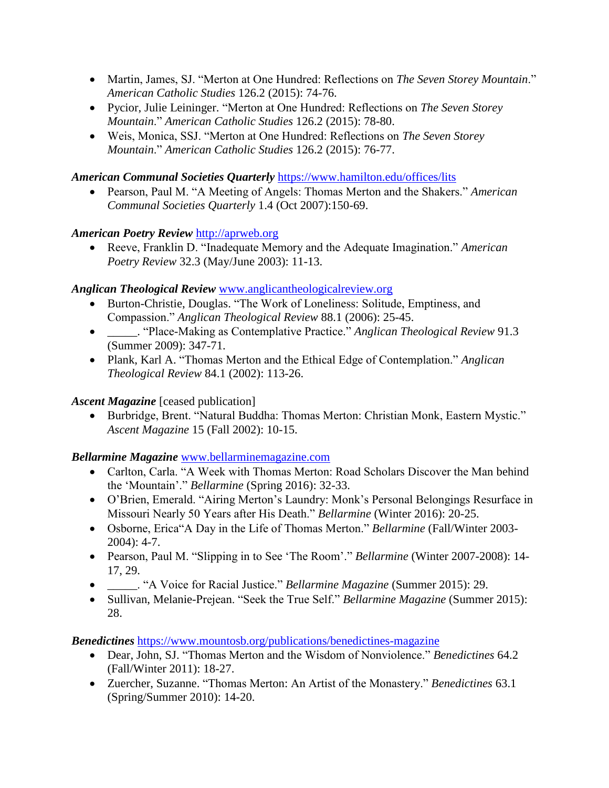- Martin, James, SJ. "Merton at One Hundred: Reflections on *The Seven Storey Mountain*." *American Catholic Studies* 126.2 (2015): 74-76.
- Pycior, Julie Leininger. "Merton at One Hundred: Reflections on *The Seven Storey Mountain*." *American Catholic Studies* 126.2 (2015): 78-80.
- Weis, Monica, SSJ. "Merton at One Hundred: Reflections on *The Seven Storey Mountain*." *American Catholic Studies* 126.2 (2015): 76-77.

### *American Communal Societies Quarterly* <https://www.hamilton.edu/offices/lits>

 Pearson, Paul M. "A Meeting of Angels: Thomas Merton and the Shakers." *American Communal Societies Quarterly* 1.4 (Oct 2007):150-69.

### *American Poetry Review* [http://aprweb.org](http://aprweb.org/)

 Reeve, Franklin D. "Inadequate Memory and the Adequate Imagination." *American Poetry Review* 32.3 (May/June 2003): 11-13.

### *Anglican Theological Review* [www.anglicantheologicalreview.org](http://www.anglicantheologicalreview.org/)

- Burton-Christie, Douglas. "The Work of Loneliness: Solitude, Emptiness, and Compassion." *Anglican Theological Review* 88.1 (2006): 25-45.
- \_\_\_\_\_. "Place-Making as Contemplative Practice." *Anglican Theological Review* 91.3 (Summer 2009): 347-71.
- Plank, Karl A. "Thomas Merton and the Ethical Edge of Contemplation." *Anglican Theological Review* 84.1 (2002): 113-26.

### *Ascent Magazine* [ceased publication]

 Burbridge, Brent. "Natural Buddha: Thomas Merton: Christian Monk, Eastern Mystic." *Ascent Magazine* 15 (Fall 2002): 10-15.

#### *Bellarmine Magazine* [www.bellarminemagazine.com](http://www.bellarminemagazine.com/)

- Carlton, Carla. "A Week with Thomas Merton: Road Scholars Discover the Man behind the 'Mountain'." *Bellarmine* (Spring 2016): 32-33.
- O'Brien, Emerald. "Airing Merton's Laundry: Monk's Personal Belongings Resurface in Missouri Nearly 50 Years after His Death." *Bellarmine* (Winter 2016): 20-25.
- Osborne, Erica"A Day in the Life of Thomas Merton." *Bellarmine* (Fall/Winter 2003- 2004): 4-7.
- Pearson, Paul M. "Slipping in to See 'The Room'." *Bellarmine* (Winter 2007-2008): 14- 17, 29.
- \_\_\_\_\_. "A Voice for Racial Justice." *Bellarmine Magazine* (Summer 2015): 29.
- Sullivan, Melanie-Prejean. "Seek the True Self." *Bellarmine Magazine* (Summer 2015): 28.

*Benedictines* <https://www.mountosb.org/publications/benedictines-magazine>

- Dear, John, SJ. "Thomas Merton and the Wisdom of Nonviolence." *Benedictines* 64.2 (Fall/Winter 2011): 18-27.
- Zuercher, Suzanne. "Thomas Merton: An Artist of the Monastery." *Benedictines* 63.1 (Spring/Summer 2010): 14-20.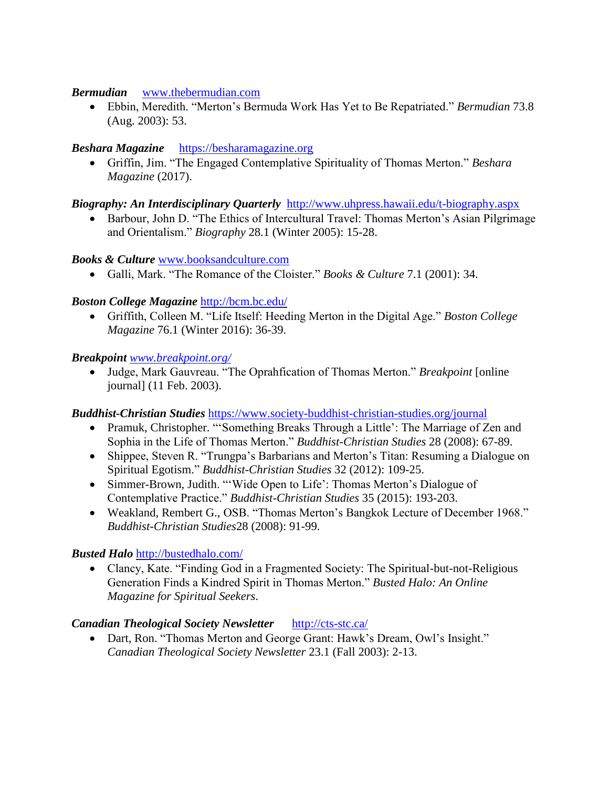#### *Bermudian*[www.thebermudian.com](http://www.thebermudian.com/)

 Ebbin, Meredith. "Merton's Bermuda Work Has Yet to Be Repatriated." *Bermudian* 73.8 (Aug. 2003): 53.

### *Beshara Magazine*[https://besharamagazine.org](https://besharamagazine.org/)

 Griffin, Jim. "The Engaged Contemplative Spirituality of Thomas Merton." *Beshara Magazine* (2017).

#### *Biography: An Interdisciplinary Quarterly* <http://www.uhpress.hawaii.edu/t-biography.aspx>

• Barbour, John D. "The Ethics of Intercultural Travel: Thomas Merton's Asian Pilgrimage and Orientalism." *Biography* 28.1 (Winter 2005): 15-28.

### *Books & Culture* [www.booksandculture.com](http://www.booksandculture.com/)

Galli, Mark. "The Romance of the Cloister." *Books & Culture* 7.1 (2001): 34.

### *Boston College Magazine* <http://bcm.bc.edu/>

 Griffith, Colleen M. "Life Itself: Heeding Merton in the Digital Age." *Boston College Magazine* 76.1 (Winter 2016): 36-39.

#### *Breakpoint [www.breakpoint.org/](http://www.breakpoint.org/)*

 Judge, Mark Gauvreau. "The Oprahfication of Thomas Merton." *Breakpoint* [online journal] (11 Feb. 2003).

#### *Buddhist-Christian Studies* <https://www.society-buddhist-christian-studies.org/journal>

- Pramuk, Christopher. "'Something Breaks Through a Little': The Marriage of Zen and Sophia in the Life of Thomas Merton." *Buddhist-Christian Studies* 28 (2008): 67-89.
- Shippee, Steven R. "Trungpa's Barbarians and Merton's Titan: Resuming a Dialogue on Spiritual Egotism." *Buddhist-Christian Studies* 32 (2012): 109-25.
- Simmer-Brown, Judith. "'Wide Open to Life': Thomas Merton's Dialogue of Contemplative Practice." *Buddhist-Christian Studies* 35 (2015): 193-203.
- Weakland, Rembert G., OSB. "Thomas Merton's Bangkok Lecture of December 1968." *Buddhist-Christian Studies*28 (2008): 91-99.

# *Busted Halo* <http://bustedhalo.com/>

 Clancy, Kate. "Finding God in a Fragmented Society: The Spiritual-but-not-Religious Generation Finds a Kindred Spirit in Thomas Merton." *Busted Halo: An Online Magazine for Spiritual Seekers*.

#### *Canadian Theological Society Newsletter*<http://cts-stc.ca/>

• Dart, Ron. "Thomas Merton and George Grant: Hawk's Dream, Owl's Insight." *Canadian Theological Society Newsletter* 23.1 (Fall 2003): 2-13.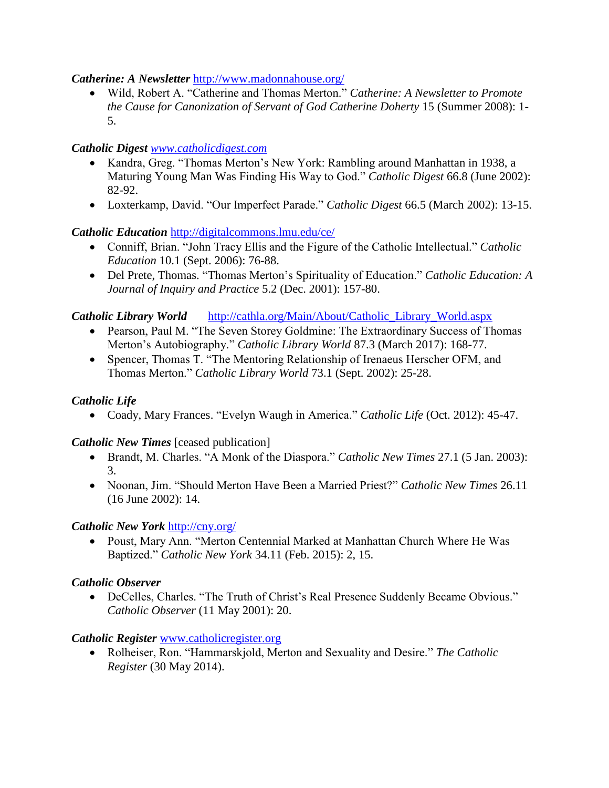### *Catherine: A Newsletter* <http://www.madonnahouse.org/>

 Wild, Robert A. "Catherine and Thomas Merton." *Catherine: A Newsletter to Promote the Cause for Canonization of Servant of God Catherine Doherty* 15 (Summer 2008): 1- 5.

# *Catholic Digest [www.catholicdigest.com](http://www.catholicdigest.com/)*

- Kandra, Greg. "Thomas Merton's New York: Rambling around Manhattan in 1938, a Maturing Young Man Was Finding His Way to God." *Catholic Digest* 66.8 (June 2002): 82-92.
- Loxterkamp, David. "Our Imperfect Parade." *Catholic Digest* 66.5 (March 2002): 13-15.

# *Catholic Education* <http://digitalcommons.lmu.edu/ce/>

- Conniff, Brian. "John Tracy Ellis and the Figure of the Catholic Intellectual." *Catholic Education* 10.1 (Sept. 2006): 76-88.
- Del Prete, Thomas. "Thomas Merton's Spirituality of Education." *Catholic Education: A Journal of Inquiry and Practice* 5.2 (Dec. 2001): 157-80.

### *Catholic Library World*[http://cathla.org/Main/About/Catholic\\_Library\\_World.aspx](http://cathla.org/Main/About/Catholic_Library_World.aspx)

- Pearson, Paul M. "The Seven Storey Goldmine: The Extraordinary Success of Thomas Merton's Autobiography." *Catholic Library World* 87.3 (March 2017): 168-77.
- Spencer, Thomas T. "The Mentoring Relationship of Irenaeus Herscher OFM, and Thomas Merton." *Catholic Library World* 73.1 (Sept. 2002): 25-28.

# *Catholic Life*

Coady, Mary Frances. "Evelyn Waugh in America." *Catholic Life* (Oct. 2012): 45-47.

# *Catholic New Times* [ceased publication]

- Brandt, M. Charles. "A Monk of the Diaspora." *Catholic New Times* 27.1 (5 Jan. 2003): 3.
- Noonan, Jim. "Should Merton Have Been a Married Priest?" *Catholic New Times* 26.11 (16 June 2002): 14.

# *Catholic New York* <http://cny.org/>

 Poust, Mary Ann. "Merton Centennial Marked at Manhattan Church Where He Was Baptized." *Catholic New York* 34.11 (Feb. 2015): 2, 15.

# *Catholic Observer*

 DeCelles, Charles. "The Truth of Christ's Real Presence Suddenly Became Obvious." *Catholic Observer* (11 May 2001): 20.

# *Catholic Register* [www.catholicregister.org](http://www.catholicregister.org/)

 Rolheiser, Ron. "Hammarskjold, Merton and Sexuality and Desire." *The Catholic Register* (30 May 2014).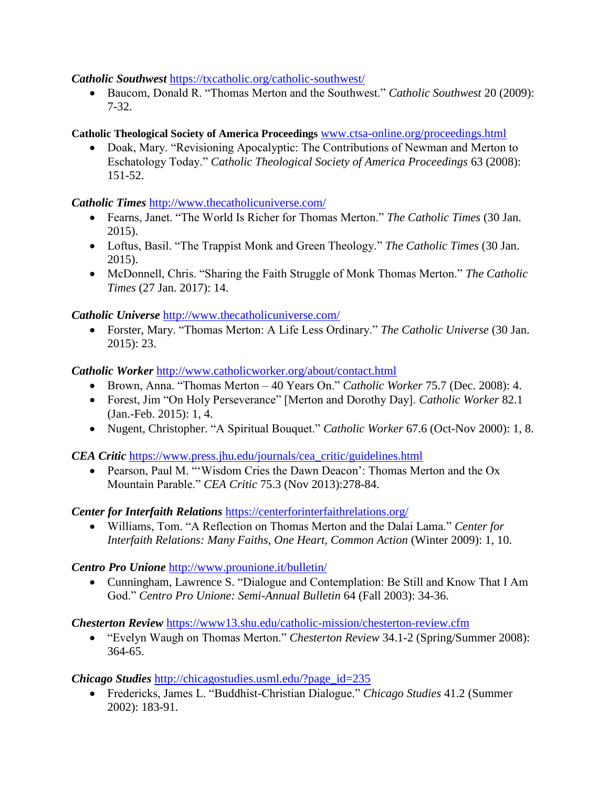#### *Catholic Southwest* <https://txcatholic.org/catholic-southwest/>

 Baucom, Donald R. "Thomas Merton and the Southwest." *Catholic Southwest* 20 (2009): 7-32.

# **Catholic Theological Society of America Proceedings** [www.ctsa-online.org/proceedings.html](http://www.ctsa-online.org/proceedings.html)

• Doak, Mary. "Revisioning Apocalyptic: The Contributions of Newman and Merton to Eschatology Today." *Catholic Theological Society of America Proceedings* 63 (2008): 151-52.

*Catholic Times* <http://www.thecatholicuniverse.com/>

- Fearns, Janet. "The World Is Richer for Thomas Merton." *The Catholic Times* (30 Jan. 2015).
- Loftus, Basil. "The Trappist Monk and Green Theology." *The Catholic Times* (30 Jan. 2015).
- McDonnell, Chris. "Sharing the Faith Struggle of Monk Thomas Merton." *The Catholic Times* (27 Jan. 2017): 14.

*Catholic Universe* <http://www.thecatholicuniverse.com/>

 Forster, Mary. "Thomas Merton: A Life Less Ordinary." *The Catholic Universe* (30 Jan. 2015): 23.

*Catholic Worker* <http://www.catholicworker.org/about/contact.html>

- Brown, Anna. "Thomas Merton 40 Years On." *Catholic Worker* 75.7 (Dec. 2008): 4.
- Forest, Jim "On Holy Perseverance" [Merton and Dorothy Day]. *Catholic Worker* 82.1 (Jan.-Feb. 2015): 1, 4.
- Nugent, Christopher. "A Spiritual Bouquet." *Catholic Worker* 67.6 (Oct-Nov 2000): 1, 8.

*CEA Critic [https://www.press.jhu.edu/journals/cea\\_critic/guidelines.html](https://www.press.jhu.edu/journals/cea_critic/guidelines.html)* 

• Pearson, Paul M. "'Wisdom Cries the Dawn Deacon': Thomas Merton and the Ox Mountain Parable." *CEA Critic* 75.3 (Nov 2013):278-84.

*Center for Interfaith Relations* <https://centerforinterfaithrelations.org/>

 Williams, Tom. "A Reflection on Thomas Merton and the Dalai Lama." *Center for Interfaith Relations: Many Faiths, One Heart, Common Action* (Winter 2009): 1, 10.

*Centro Pro Unione* <http://www.prounione.it/bulletin/>

 Cunningham, Lawrence S. "Dialogue and Contemplation: Be Still and Know That I Am God." *Centro Pro Unione: Semi-Annual Bulletin* 64 (Fall 2003): 34-36.

*Chesterton Review* <https://www13.shu.edu/catholic-mission/chesterton-review.cfm>

 "Evelyn Waugh on Thomas Merton." *Chesterton Review* 34.1-2 (Spring/Summer 2008): 364-65.

*Chicago Studies* [http://chicagostudies.usml.edu/?page\\_id=235](http://chicagostudies.usml.edu/?page_id=235)

 Fredericks, James L. "Buddhist-Christian Dialogue." *Chicago Studies* 41.2 (Summer 2002): 183-91.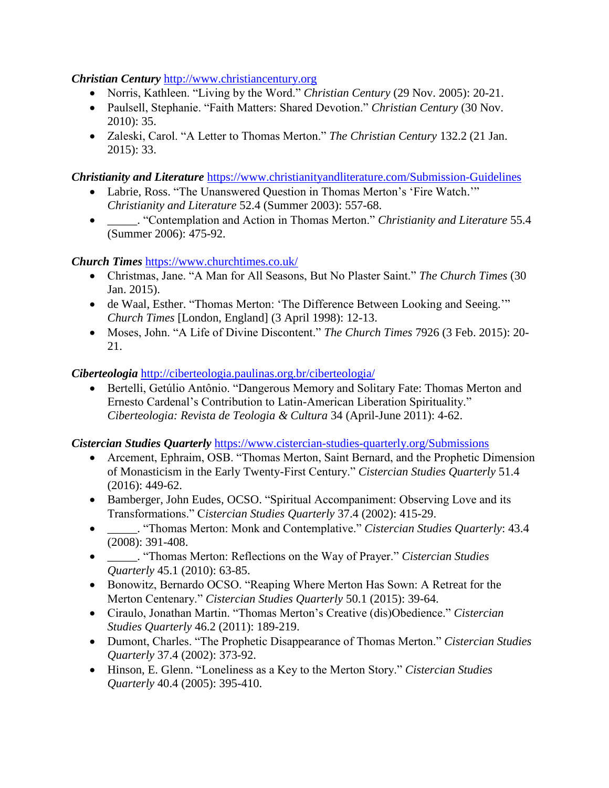### *Christian Century* [http://www.christiancentury.org](http://www.christiancentury.org/)

- Norris, Kathleen. "Living by the Word." *Christian Century* (29 Nov. 2005): 20-21.
- Paulsell, Stephanie. "Faith Matters: Shared Devotion." *Christian Century* (30 Nov. 2010): 35.
- Zaleski, Carol. "A Letter to Thomas Merton." *The Christian Century* 132.2 (21 Jan. 2015): 33.

*Christianity and Literature* <https://www.christianityandliterature.com/Submission-Guidelines>

- Labrie, Ross. "The Unanswered Question in Thomas Merton's 'Fire Watch.'" *Christianity and Literature* 52.4 (Summer 2003): 557-68.
- \_\_\_\_\_. "Contemplation and Action in Thomas Merton." *Christianity and Literature* 55.4 (Summer 2006): 475-92.

*Church Times* <https://www.churchtimes.co.uk/>

- Christmas, Jane. "A Man for All Seasons, But No Plaster Saint." *The Church Times* (30 Jan. 2015).
- de Waal, Esther. "Thomas Merton: 'The Difference Between Looking and Seeing.'" *Church Times* [London, England] (3 April 1998): 12-13.
- Moses, John. "A Life of Divine Discontent." *The Church Times* 7926 (3 Feb. 2015): 20- 21.

*Ciberteologia* <http://ciberteologia.paulinas.org.br/ciberteologia/>

 Bertelli, Getúlio Antônio. "Dangerous Memory and Solitary Fate: Thomas Merton and Ernesto Cardenal's Contribution to Latin-American Liberation Spirituality." *Ciberteologia: Revista de Teologia & Cultura* 34 (April-June 2011): 4-62.

*Cistercian Studies Quarterly* <https://www.cistercian-studies-quarterly.org/Submissions>

- Arcement, Ephraim, OSB. "Thomas Merton, Saint Bernard, and the Prophetic Dimension of Monasticism in the Early Twenty-First Century." *Cistercian Studies Quarterly* 51.4 (2016): 449-62.
- Bamberger, John Eudes, OCSO. "Spiritual Accompaniment: Observing Love and its Transformations." C*istercian Studies Quarterly* 37.4 (2002): 415-29.
- \_\_\_\_\_. "Thomas Merton: Monk and Contemplative." *Cistercian Studies Quarterly*: 43.4 (2008): 391-408.
- \_\_\_\_\_. "Thomas Merton: Reflections on the Way of Prayer." *Cistercian Studies Quarterly* 45.1 (2010): 63-85.
- Bonowitz, Bernardo OCSO. "Reaping Where Merton Has Sown: A Retreat for the Merton Centenary." *Cistercian Studies Quarterly* 50.1 (2015): 39-64.
- Ciraulo, Jonathan Martin. "Thomas Merton's Creative (dis)Obedience." *Cistercian Studies Quarterly* 46.2 (2011): 189-219.
- Dumont, Charles. "The Prophetic Disappearance of Thomas Merton." *Cistercian Studies Quarterly* 37.4 (2002): 373-92.
- Hinson, E. Glenn. "Loneliness as a Key to the Merton Story." *Cistercian Studies Quarterly* 40.4 (2005): 395-410.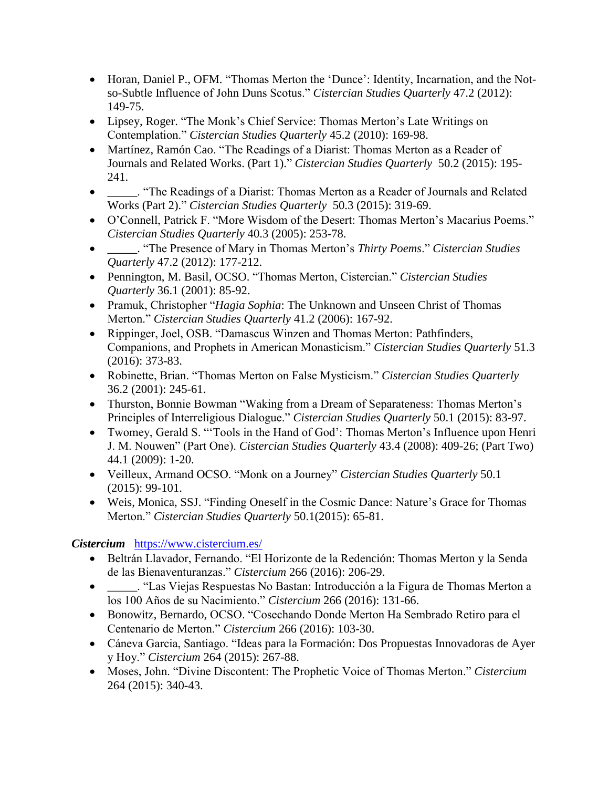- Horan, Daniel P., OFM. "Thomas Merton the 'Dunce': Identity, Incarnation, and the Notso-Subtle Influence of John Duns Scotus." *Cistercian Studies Quarterly* 47.2 (2012): 149-75.
- Lipsey, Roger. "The Monk's Chief Service: Thomas Merton's Late Writings on Contemplation." *Cistercian Studies Quarterly* 45.2 (2010): 169-98.
- Martínez, Ramón Cao. "The Readings of a Diarist: Thomas Merton as a Reader of Journals and Related Works. (Part 1)." *Cistercian Studies Quarterly* 50.2 (2015): 195- 241.
- \_\_\_\_\_. "The Readings of a Diarist: Thomas Merton as a Reader of Journals and Related Works (Part 2)." *Cistercian Studies Quarterly* 50.3 (2015): 319-69.
- O'Connell, Patrick F. "More Wisdom of the Desert: Thomas Merton's Macarius Poems." *Cistercian Studies Quarterly* 40.3 (2005): 253-78.
- \_\_\_\_\_. "The Presence of Mary in Thomas Merton's *Thirty Poems*." *Cistercian Studies Quarterly* 47.2 (2012): 177-212.
- Pennington, M. Basil, OCSO. "Thomas Merton, Cistercian." *Cistercian Studies Quarterly* 36.1 (2001): 85-92.
- Pramuk, Christopher "*Hagia Sophia*: The Unknown and Unseen Christ of Thomas Merton." *Cistercian Studies Quarterly* 41.2 (2006): 167-92.
- Rippinger, Joel, OSB. "Damascus Winzen and Thomas Merton: Pathfinders, Companions, and Prophets in American Monasticism." *Cistercian Studies Quarterly* 51.3 (2016): 373-83.
- Robinette, Brian. "Thomas Merton on False Mysticism." *Cistercian Studies Quarterly*  36.2 (2001): 245-61.
- Thurston, Bonnie Bowman "Waking from a Dream of Separateness: Thomas Merton's Principles of Interreligious Dialogue." *Cistercian Studies Quarterly* 50.1 (2015): 83-97.
- Twomey, Gerald S. "'Tools in the Hand of God': Thomas Merton's Influence upon Henri J. M. Nouwen" (Part One). *Cistercian Studies Quarterly* 43.4 (2008): 409-26; (Part Two) 44.1 (2009): 1-20.
- Veilleux, Armand OCSO. "Monk on a Journey" *Cistercian Studies Quarterly* 50.1 (2015): 99-101.
- Weis, Monica, SSJ. "Finding Oneself in the Cosmic Dance: Nature's Grace for Thomas Merton." *Cistercian Studies Quarterly* 50.1(2015): 65-81.

# *Cistercium*<https://www.cistercium.es/>

- Beltrán Llavador, Fernando. "El Horizonte de la Redención: Thomas Merton y la Senda de las Bienaventuranzas." *Cistercium* 266 (2016): 206-29.
- \_\_\_\_\_. "Las Viejas Respuestas No Bastan: Introducción a la Figura de Thomas Merton a los 100 Años de su Nacimiento." *Cistercium* 266 (2016): 131-66.
- Bonowitz, Bernardo, OCSO. "Cosechando Donde Merton Ha Sembrado Retiro para el Centenario de Merton." *Cistercium* 266 (2016): 103-30.
- Cáneva Garcia, Santiago. "Ideas para la Formación: Dos Propuestas Innovadoras de Ayer y Hoy." *Cistercium* 264 (2015): 267-88.
- Moses, John. "Divine Discontent: The Prophetic Voice of Thomas Merton." *Cistercium* 264 (2015): 340-43.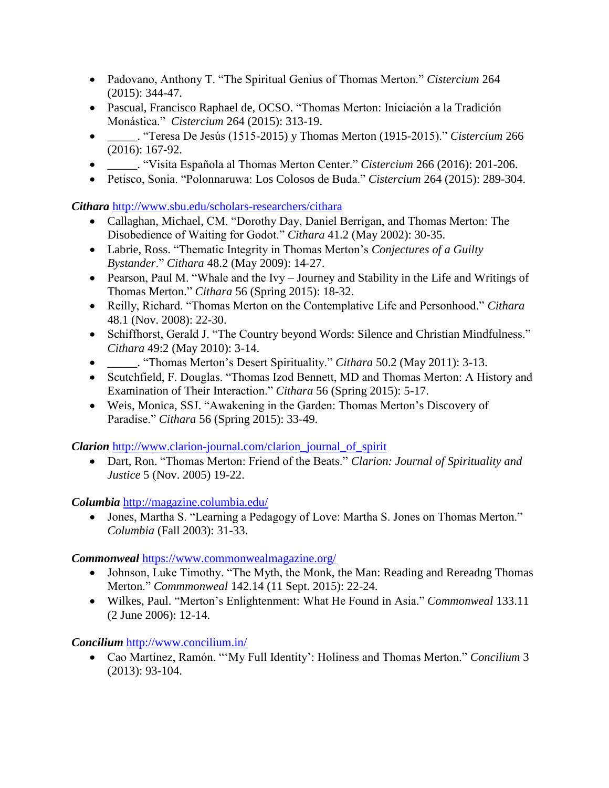- Padovano, Anthony T. "The Spiritual Genius of Thomas Merton." *Cistercium* 264 (2015): 344-47.
- Pascual, Francisco Raphael de, OCSO. "Thomas Merton: Iniciación a la Tradición Monástica." *Cistercium* 264 (2015): 313-19.
- \_\_\_\_\_. "Teresa De Jesús (1515-2015) y Thomas Merton (1915-2015)." *Cistercium* 266 (2016): 167-92.
- \_\_\_\_\_. "Visita Española al Thomas Merton Center." *Cistercium* 266 (2016): 201-206.
- Petisco, Sonia. "Polonnaruwa: Los Colosos de Buda." *Cistercium* 264 (2015): 289-304.

*Cithara* <http://www.sbu.edu/scholars-researchers/cithara>

- Callaghan, Michael, CM. "Dorothy Day, Daniel Berrigan, and Thomas Merton: The Disobedience of Waiting for Godot." *Cithara* 41.2 (May 2002): 30-35.
- Labrie, Ross. "Thematic Integrity in Thomas Merton's *Conjectures of a Guilty Bystander*." *Cithara* 48.2 (May 2009): 14-27.
- Pearson, Paul M. "Whale and the Ivy Journey and Stability in the Life and Writings of Thomas Merton." *Cithara* 56 (Spring 2015): 18-32.
- Reilly, Richard. "Thomas Merton on the Contemplative Life and Personhood." *Cithara*  48.1 (Nov. 2008): 22-30.
- Schiffhorst, Gerald J. "The Country beyond Words: Silence and Christian Mindfulness." *Cithara* 49:2 (May 2010): 3-14.
- \_\_\_\_\_. "Thomas Merton's Desert Spirituality." *Cithara* 50.2 (May 2011): 3-13.
- Scutchfield, F. Douglas. "Thomas Izod Bennett, MD and Thomas Merton: A History and Examination of Their Interaction." *Cithara* 56 (Spring 2015): 5-17.
- Weis, Monica, SSJ. "Awakening in the Garden: Thomas Merton's Discovery of Paradise." *Cithara* 56 (Spring 2015): 33-49.

*Clarion* [http://www.clarion-journal.com/clarion\\_journal\\_of\\_spirit](http://www.clarion-journal.com/clarion_journal_of_spirit)

 Dart, Ron. "Thomas Merton: Friend of the Beats." *Clarion: Journal of Spirituality and Justice* 5 (Nov. 2005) 19-22.

*Columbia* <http://magazine.columbia.edu/>

 Jones, Martha S. "Learning a Pedagogy of Love: Martha S. Jones on Thomas Merton." *Columbia* (Fall 2003): 31-33.

*Commonweal* <https://www.commonwealmagazine.org/>

- Johnson, Luke Timothy. "The Myth, the Monk, the Man: Reading and Rereadng Thomas Merton." *Commmonweal* 142.14 (11 Sept. 2015): 22-24.
- Wilkes, Paul. "Merton's Enlightenment: What He Found in Asia." *Commonweal* 133.11 (2 June 2006): 12-14.

*Concilium* <http://www.concilium.in/>

 Cao Martínez, Ramón. "'My Full Identity': Holiness and Thomas Merton." *Concilium* 3 (2013): 93-104.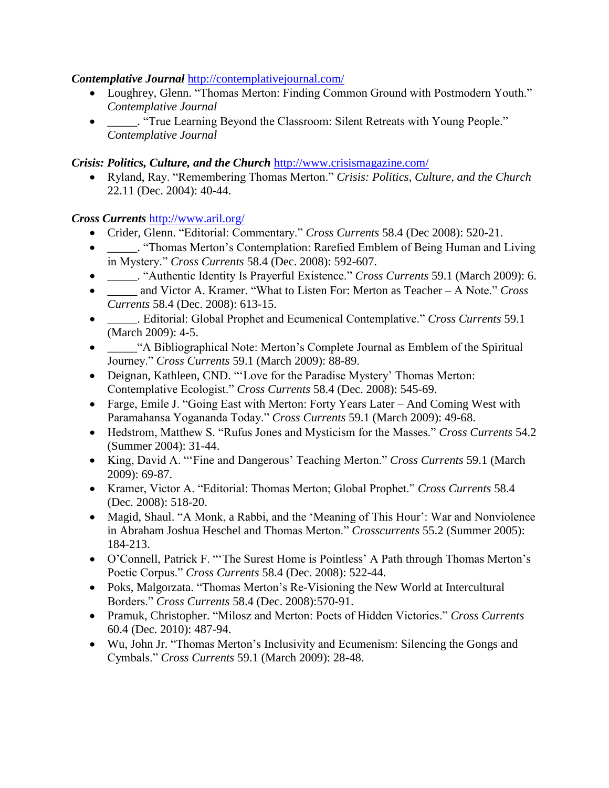### *Contemplative Journal* <http://contemplativejournal.com/>

- Loughrey, Glenn. "Thomas Merton: Finding Common Ground with Postmodern Youth." *Contemplative Journal*
- \_\_\_\_\_. "True Learning Beyond the Classroom: Silent Retreats with Young People." *Contemplative Journal*

### *Crisis: Politics, Culture, and the Church* <http://www.crisismagazine.com/>

 Ryland, Ray. "Remembering Thomas Merton." *Crisis: Politics, Culture, and the Church*  22.11 (Dec. 2004): 40-44.

*Cross Currents* <http://www.aril.org/>

- Crider, Glenn. "Editorial: Commentary." *Cross Currents* 58.4 (Dec 2008): 520-21.
- \_\_\_\_\_. "Thomas Merton's Contemplation: Rarefied Emblem of Being Human and Living in Mystery." *Cross Currents* 58.4 (Dec. 2008): 592-607.
- \_\_\_\_\_. "Authentic Identity Is Prayerful Existence." *Cross Currents* 59.1 (March 2009): 6.
- \_\_\_\_\_ and Victor A. Kramer. "What to Listen For: Merton as Teacher A Note." *Cross Currents* 58.4 (Dec. 2008): 613-15.
- \_\_\_\_\_. Editorial: Global Prophet and Ecumenical Contemplative." *Cross Currents* 59.1 (March 2009): 4-5.
- \_\_\_\_\_"A Bibliographical Note: Merton's Complete Journal as Emblem of the Spiritual Journey." *Cross Currents* 59.1 (March 2009): 88-89.
- Deignan, Kathleen, CND. "'Love for the Paradise Mystery' Thomas Merton: Contemplative Ecologist." *Cross Currents* 58.4 (Dec. 2008): 545-69.
- Farge, Emile J. "Going East with Merton: Forty Years Later And Coming West with Paramahansa Yogananda Today." *Cross Currents* 59.1 (March 2009): 49-68.
- Hedstrom, Matthew S. "Rufus Jones and Mysticism for the Masses." *Cross Currents* 54.2 (Summer 2004): 31-44.
- King, David A. "'Fine and Dangerous' Teaching Merton." *Cross Currents* 59.1 (March 2009): 69-87.
- Kramer, Victor A. "Editorial: Thomas Merton; Global Prophet." *Cross Currents* 58.4 (Dec. 2008): 518-20.
- Magid, Shaul. "A Monk, a Rabbi, and the 'Meaning of This Hour': War and Nonviolence in Abraham Joshua Heschel and Thomas Merton." *Crosscurrents* 55.2 (Summer 2005): 184-213.
- O'Connell, Patrick F. "'The Surest Home is Pointless' A Path through Thomas Merton's Poetic Corpus." *Cross Currents* 58.4 (Dec. 2008): 522-44.
- Poks, Malgorzata. "Thomas Merton's Re-Visioning the New World at Intercultural Borders." *Cross Currents* 58.4 (Dec. 2008):570-91.
- Pramuk, Christopher. "Milosz and Merton: Poets of Hidden Victories." *Cross Currents*  60.4 (Dec. 2010): 487-94.
- Wu, John Jr. "Thomas Merton's Inclusivity and Ecumenism: Silencing the Gongs and Cymbals." *Cross Currents* 59.1 (March 2009): 28-48.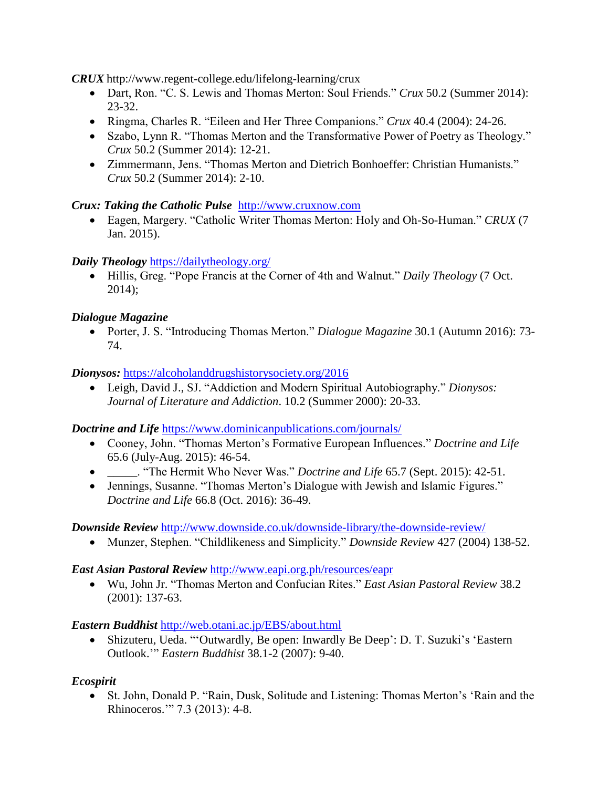*CRUX* http://www.regent-college.edu/lifelong-learning/crux

- Dart, Ron. "C. S. Lewis and Thomas Merton: Soul Friends." *Crux* 50.2 (Summer 2014): 23-32.
- Ringma, Charles R. "Eileen and Her Three Companions." *Crux* 40.4 (2004): 24-26.
- Szabo, Lynn R. "Thomas Merton and the Transformative Power of Poetry as Theology." *Crux* 50.2 (Summer 2014): 12-21.
- Zimmermann, Jens. "Thomas Merton and Dietrich Bonhoeffer: Christian Humanists." *Crux* 50.2 (Summer 2014): 2-10.

# *Crux: Taking the Catholic Pulse* [http://www.cruxnow.com](http://www.cruxnow.com/)

 Eagen, Margery. "Catholic Writer Thomas Merton: Holy and Oh-So-Human." *CRUX* (7 Jan. 2015).

# *Daily Theology* <https://dailytheology.org/>

 Hillis, Greg. "Pope Francis at the Corner of 4th and Walnut." *Daily Theology* (7 Oct. 2014);

# *Dialogue Magazine*

 Porter, J. S. "Introducing Thomas Merton." *Dialogue Magazine* 30.1 (Autumn 2016): 73- 74.

# *Dionysos:* <https://alcoholanddrugshistorysociety.org/2016>

 Leigh, David J., SJ. "Addiction and Modern Spiritual Autobiography." *Dionysos: Journal of Literature and Addiction*. 10.2 (Summer 2000): 20-33.

*Doctrine and Life* <https://www.dominicanpublications.com/journals/>

- Cooney, John. "Thomas Merton's Formative European Influences." *Doctrine and Life* 65.6 (July-Aug. 2015): 46-54.
- \_\_\_\_\_. "The Hermit Who Never Was." *Doctrine and Life* 65.7 (Sept. 2015): 42-51.
- Jennings, Susanne. "Thomas Merton's Dialogue with Jewish and Islamic Figures." *Doctrine and Life* 66.8 (Oct. 2016): 36-49.

# *Downside Review* <http://www.downside.co.uk/downside-library/the-downside-review/>

Munzer, Stephen. "Childlikeness and Simplicity." *Downside Review* 427 (2004) 138-52.

# *East Asian Pastoral Review* <http://www.eapi.org.ph/resources/eapr>

 Wu, John Jr. "Thomas Merton and Confucian Rites." *East Asian Pastoral Review* 38.2 (2001): 137-63.

# *Eastern Buddhist* <http://web.otani.ac.jp/EBS/about.html>

 Shizuteru, Ueda. "'Outwardly, Be open: Inwardly Be Deep': D. T. Suzuki's 'Eastern Outlook.'" *Eastern Buddhist* 38.1-2 (2007): 9-40.

# *Ecospirit*

 St. John, Donald P. "Rain, Dusk, Solitude and Listening: Thomas Merton's 'Rain and the Rhinoceros.'" 7.3 (2013): 4-8.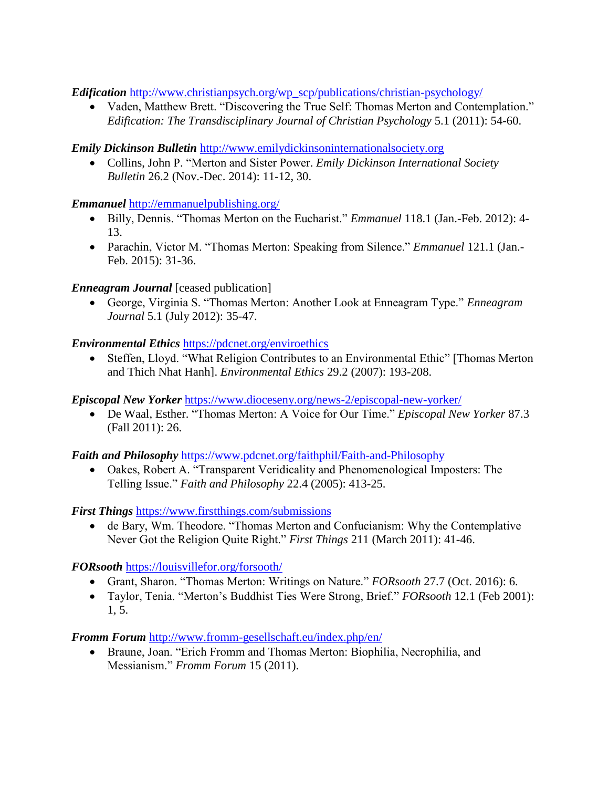*Edification* [http://www.christianpsych.org/wp\\_scp/publications/christian-psychology/](http://www.christianpsych.org/wp_scp/publications/christian-psychology/)

 Vaden, Matthew Brett. "Discovering the True Self: Thomas Merton and Contemplation." *Edification: The Transdisciplinary Journal of Christian Psychology* 5.1 (2011): 54-60.

### *Emily Dickinson Bulletin* [http://www.emilydickinsoninternationalsociety.org](http://www.emilydickinsoninternationalsociety.org/)

 Collins, John P. "Merton and Sister Power. *Emily Dickinson International Society Bulletin* 26.2 (Nov.-Dec. 2014): 11-12, 30.

### *Emmanuel* <http://emmanuelpublishing.org/>

- Billy, Dennis. "Thomas Merton on the Eucharist." *Emmanuel* 118.1 (Jan.-Feb. 2012): 4- 13.
- Parachin, Victor M. "Thomas Merton: Speaking from Silence." *Emmanuel* 121.1 (Jan.- Feb. 2015): 31-36.

### *<i>Enneagram Journal* [ceased publication]

 George, Virginia S. "Thomas Merton: Another Look at Enneagram Type." *Enneagram Journal* 5.1 (July 2012): 35-47.

### *Environmental Ethics* <https://pdcnet.org/enviroethics>

• Steffen, Lloyd. "What Religion Contributes to an Environmental Ethic" [Thomas Merton] and Thich Nhat Hanh]. *Environmental Ethics* 29.2 (2007): 193-208.

#### *Episcopal New Yorker* <https://www.dioceseny.org/news-2/episcopal-new-yorker/>

 De Waal, Esther. "Thomas Merton: A Voice for Our Time." *Episcopal New Yorker* 87.3 (Fall 2011): 26.

#### *Faith and Philosophy* <https://www.pdcnet.org/faithphil/Faith-and-Philosophy>

 Oakes, Robert A. "Transparent Veridicality and Phenomenological Imposters: The Telling Issue." *Faith and Philosophy* 22.4 (2005): 413-25.

*First Things* <https://www.firstthings.com/submissions>

 de Bary, Wm. Theodore. "Thomas Merton and Confucianism: Why the Contemplative Never Got the Religion Quite Right." *First Things* 211 (March 2011): 41-46.

*FORsooth* <https://louisvillefor.org/forsooth/>

- Grant, Sharon. "Thomas Merton: Writings on Nature." *FORsooth* 27.7 (Oct. 2016): 6.
- Taylor, Tenia. "Merton's Buddhist Ties Were Strong, Brief." *FORsooth* 12.1 (Feb 2001): 1, 5.

*Fromm Forum* <http://www.fromm-gesellschaft.eu/index.php/en/>

 Braune, Joan. "Erich Fromm and Thomas Merton: Biophilia, Necrophilia, and Messianism." *Fromm Forum* 15 (2011).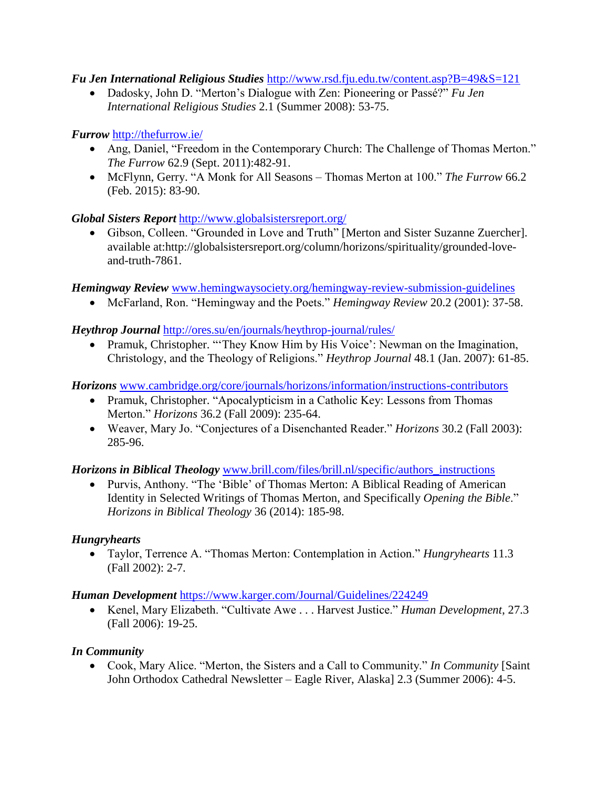### *Fu Jen International Religious Studies* <http://www.rsd.fju.edu.tw/content.asp?B=49&S=121>

 Dadosky, John D. "Merton's Dialogue with Zen: Pioneering or Passé?" *Fu Jen International Religious Studies* 2.1 (Summer 2008): 53-75.

### *Furrow* <http://thefurrow.ie/>

- Ang, Daniel, "Freedom in the Contemporary Church: The Challenge of Thomas Merton." *The Furrow* 62.9 (Sept. 2011):482-91.
- McFlynn, Gerry. "A Monk for All Seasons Thomas Merton at 100." *The Furrow* 66.2 (Feb. 2015): 83-90.

# *Global Sisters Report* <http://www.globalsistersreport.org/>

 Gibson, Colleen. "Grounded in Love and Truth" [Merton and Sister Suzanne Zuercher]. available at:http://globalsistersreport.org/column/horizons/spirituality/grounded-loveand-truth-7861.

*Hemingway Review* [www.hemingwaysociety.org/hemingway-review-submission-guidelines](http://www.hemingwaysociety.org/hemingway-review-submission-guidelines)

McFarland, Ron. "Hemingway and the Poets." *Hemingway Review* 20.2 (2001): 37-58.

# *Heythrop Journal* <http://ores.su/en/journals/heythrop-journal/rules/>

• Pramuk, Christopher. "They Know Him by His Voice': Newman on the Imagination, Christology, and the Theology of Religions." *Heythrop Journal* 48.1 (Jan. 2007): 61-85.

*Horizons* [www.cambridge.org/core/journals/horizons/information/instructions-contributors](http://www.cambridge.org/core/journals/horizons/information/instructions-contributors)

- Pramuk, Christopher. "Apocalypticism in a Catholic Key: Lessons from Thomas Merton." *Horizons* 36.2 (Fall 2009): 235-64.
- Weaver, Mary Jo. "Conjectures of a Disenchanted Reader." *Horizons* 30.2 (Fall 2003): 285-96.

# *Horizons in Biblical Theology* [www.brill.com/files/brill.nl/specific/authors\\_instructions](http://www.brill.com/files/brill.nl/specific/authors_instructions)

 Purvis, Anthony. "The 'Bible' of Thomas Merton: A Biblical Reading of American Identity in Selected Writings of Thomas Merton, and Specifically *Opening the Bible*." *Horizons in Biblical Theology* 36 (2014): 185-98.

# *Hungryhearts*

 Taylor, Terrence A. "Thomas Merton: Contemplation in Action." *Hungryhearts* 11.3 (Fall 2002): 2-7.

#### *Human Development* <https://www.karger.com/Journal/Guidelines/224249>

 Kenel, Mary Elizabeth. "Cultivate Awe . . . Harvest Justice." *Human Development*, 27.3 (Fall 2006): 19-25.

# *In Community*

 Cook, Mary Alice. "Merton, the Sisters and a Call to Community." *In Community* [Saint John Orthodox Cathedral Newsletter – Eagle River, Alaska] 2.3 (Summer 2006): 4-5.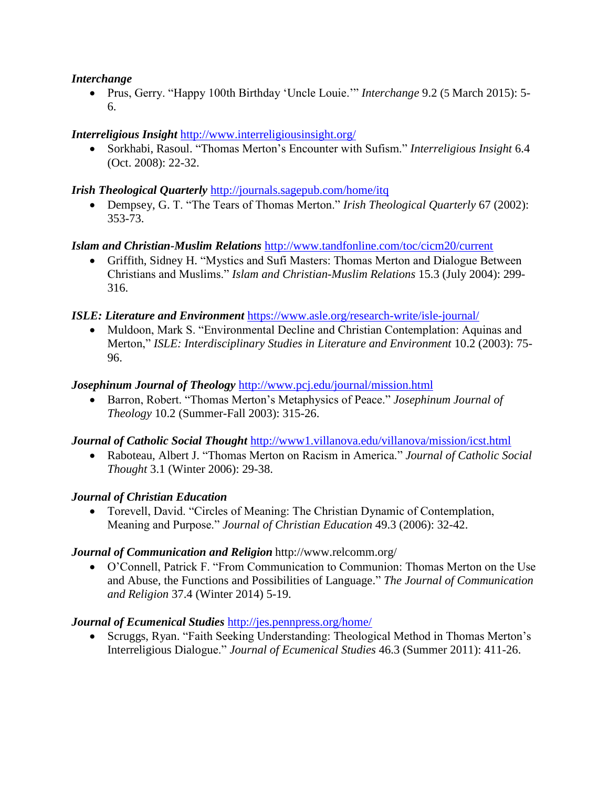#### *Interchange*

 Prus, Gerry. "Happy 100th Birthday 'Uncle Louie.'" *Interchange* 9.2 (5 March 2015): 5- 6.

### *Interreligious Insight* <http://www.interreligiousinsight.org/>

 Sorkhabi, Rasoul. "Thomas Merton's Encounter with Sufism." *Interreligious Insight* 6.4 (Oct. 2008): 22-32.

#### *Irish Theological Quarterly* <http://journals.sagepub.com/home/itq>

 Dempsey, G. T. "The Tears of Thomas Merton." *Irish Theological Quarterly* 67 (2002): 353-73.

### *Islam and Christian-Muslim Relations* <http://www.tandfonline.com/toc/cicm20/current>

 Griffith, Sidney H. "Mystics and Sufi Masters: Thomas Merton and Dialogue Between Christians and Muslims." *Islam and Christian-Muslim Relations* 15.3 (July 2004): 299- 316.

#### *ISLE: Literature and Environment* <https://www.asle.org/research-write/isle-journal/>

• Muldoon, Mark S. "Environmental Decline and Christian Contemplation: Aquinas and Merton," *ISLE: Interdisciplinary Studies in Literature and Environment* 10.2 (2003): 75- 96.

#### *Josephinum Journal of Theology* <http://www.pcj.edu/journal/mission.html>

 Barron, Robert. "Thomas Merton's Metaphysics of Peace." *Josephinum Journal of Theology* 10.2 (Summer-Fall 2003): 315-26.

#### *Journal of Catholic Social Thought* <http://www1.villanova.edu/villanova/mission/icst.html>

 Raboteau, Albert J. "Thomas Merton on Racism in America." *Journal of Catholic Social Thought* 3.1 (Winter 2006): 29-38.

#### *Journal of Christian Education*

 Torevell, David. "Circles of Meaning: The Christian Dynamic of Contemplation, Meaning and Purpose." *Journal of Christian Education* 49.3 (2006): 32-42.

#### *Journal of Communication and Religion* http://www.relcomm.org/

 O'Connell, Patrick F. "From Communication to Communion: Thomas Merton on the Use and Abuse, the Functions and Possibilities of Language." *The Journal of Communication and Religion* 37.4 (Winter 2014) 5-19.

#### *Journal of Ecumenical Studies* <http://jes.pennpress.org/home/>

 Scruggs, Ryan. "Faith Seeking Understanding: Theological Method in Thomas Merton's Interreligious Dialogue." *Journal of Ecumenical Studies* 46.3 (Summer 2011): 411-26.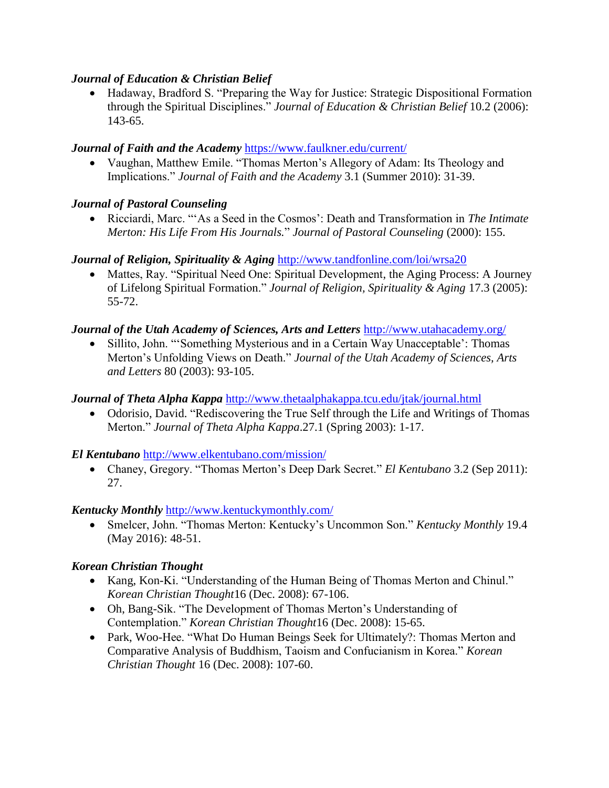### *Journal of Education & Christian Belief*

 Hadaway, Bradford S. "Preparing the Way for Justice: Strategic Dispositional Formation through the Spiritual Disciplines." *Journal of Education & Christian Belief* 10.2 (2006): 143-65.

### *Journal of Faith and the Academy* <https://www.faulkner.edu/current/>

 Vaughan, Matthew Emile. "Thomas Merton's Allegory of Adam: Its Theology and Implications." *Journal of Faith and the Academy* 3.1 (Summer 2010): 31-39.

### *Journal of Pastoral Counseling*

 Ricciardi, Marc. "'As a Seed in the Cosmos': Death and Transformation in *The Intimate Merton: His Life From His Journals.*" *Journal of Pastoral Counseling* (2000): 155.

### *Journal of Religion, Spirituality & Aging* <http://www.tandfonline.com/loi/wrsa20>

• Mattes, Ray. "Spiritual Need One: Spiritual Development, the Aging Process: A Journey of Lifelong Spiritual Formation." *Journal of Religion, Spirituality & Aging* 17.3 (2005): 55-72.

### *Journal of the Utah Academy of Sciences, Arts and Letters* <http://www.utahacademy.org/>

 Sillito, John. "'Something Mysterious and in a Certain Way Unacceptable': Thomas Merton's Unfolding Views on Death." *Journal of the Utah Academy of Sciences, Arts and Letters* 80 (2003): 93-105.

### *Journal of Theta Alpha Kappa* <http://www.thetaalphakappa.tcu.edu/jtak/journal.html>

 Odorisio, David. "Rediscovering the True Self through the Life and Writings of Thomas Merton." *Journal of Theta Alpha Kappa*.27.1 (Spring 2003): 1-17.

# *El Kentubano* <http://www.elkentubano.com/mission/>

 Chaney, Gregory. "Thomas Merton's Deep Dark Secret." *El Kentubano* 3.2 (Sep 2011): 27.

#### *Kentucky Monthly* <http://www.kentuckymonthly.com/>

 Smelcer, John. "Thomas Merton: Kentucky's Uncommon Son." *Kentucky Monthly* 19.4 (May 2016): 48-51.

#### *Korean Christian Thought*

- Kang, Kon-Ki. "Understanding of the Human Being of Thomas Merton and Chinul." *Korean Christian Thought*16 (Dec. 2008): 67-106.
- Oh, Bang-Sik. "The Development of Thomas Merton's Understanding of Contemplation." *Korean Christian Thought*16 (Dec. 2008): 15-65.
- Park, Woo-Hee. "What Do Human Beings Seek for Ultimately?: Thomas Merton and Comparative Analysis of Buddhism, Taoism and Confucianism in Korea." *Korean Christian Thought* 16 (Dec. 2008): 107-60.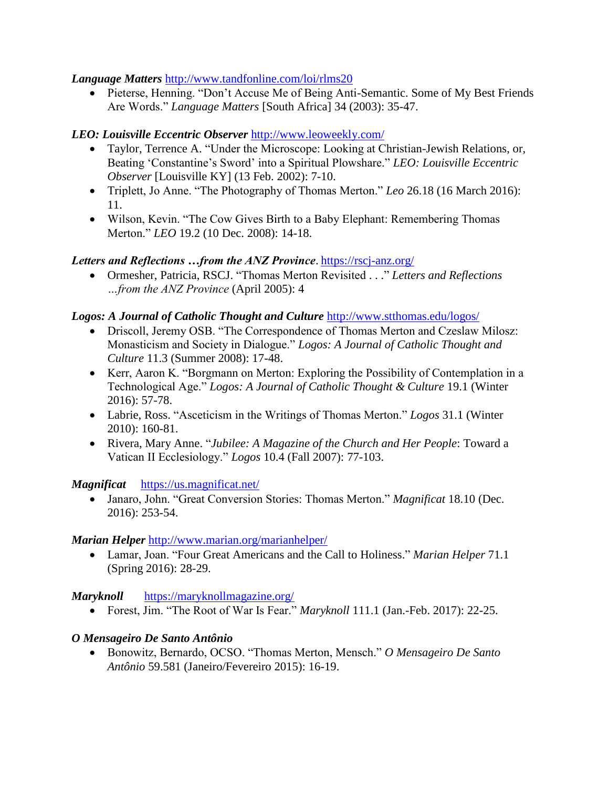#### *Language Matters* <http://www.tandfonline.com/loi/rlms20>

• Pieterse, Henning. "Don't Accuse Me of Being Anti-Semantic. Some of My Best Friends Are Words." *Language Matters* [South Africa] 34 (2003): 35-47.

# *LEO: Louisville Eccentric Observer* <http://www.leoweekly.com/>

- Taylor, Terrence A. "Under the Microscope: Looking at Christian-Jewish Relations, or, Beating 'Constantine's Sword' into a Spiritual Plowshare." *LEO: Louisville Eccentric Observer* [Louisville KY] (13 Feb. 2002): 7-10.
- Triplett, Jo Anne. "The Photography of Thomas Merton." *Leo* 26.18 (16 March 2016): 11.
- Wilson, Kevin. "The Cow Gives Birth to a Baby Elephant: Remembering Thomas Merton." *LEO* 19.2 (10 Dec. 2008): 14-18.

### *Letters and Reflections …from the ANZ Province*. <https://rscj-anz.org/>

 Ormesher, Patricia, RSCJ. "Thomas Merton Revisited . . ." *Letters and Reflections …from the ANZ Province* (April 2005): 4

### *Logos: A Journal of Catholic Thought and Culture* <http://www.stthomas.edu/logos/>

- Driscoll, Jeremy OSB. "The Correspondence of Thomas Merton and Czeslaw Milosz: Monasticism and Society in Dialogue." *Logos: A Journal of Catholic Thought and Culture* 11.3 (Summer 2008): 17-48.
- Kerr, Aaron K. "Borgmann on Merton: Exploring the Possibility of Contemplation in a Technological Age." *Logos: A Journal of Catholic Thought & Culture* 19.1 (Winter 2016): 57-78.
- Labrie, Ross. "Asceticism in the Writings of Thomas Merton." *Logos* 31.1 (Winter 2010): 160-81.
- Rivera, Mary Anne. "*Jubilee: A Magazine of the Church and Her People*: Toward a Vatican II Ecclesiology." *Logos* 10.4 (Fall 2007): 77-103.

#### *Magnificat*<https://us.magnificat.net/>

 Janaro, John. "Great Conversion Stories: Thomas Merton." *Magnificat* 18.10 (Dec. 2016): 253-54.

#### *Marian Helper* <http://www.marian.org/marianhelper/>

 Lamar, Joan. "Four Great Americans and the Call to Holiness." *Marian Helper* 71.1 (Spring 2016): 28-29.

# *Maryknoll*<https://maryknollmagazine.org/>

Forest, Jim. "The Root of War Is Fear." *Maryknoll* 111.1 (Jan.-Feb. 2017): 22-25.

# *O Mensageiro De Santo Antônio*

 Bonowitz, Bernardo, OCSO. "Thomas Merton, Mensch." *O Mensageiro De Santo Antônio* 59.581 (Janeiro/Fevereiro 2015): 16-19.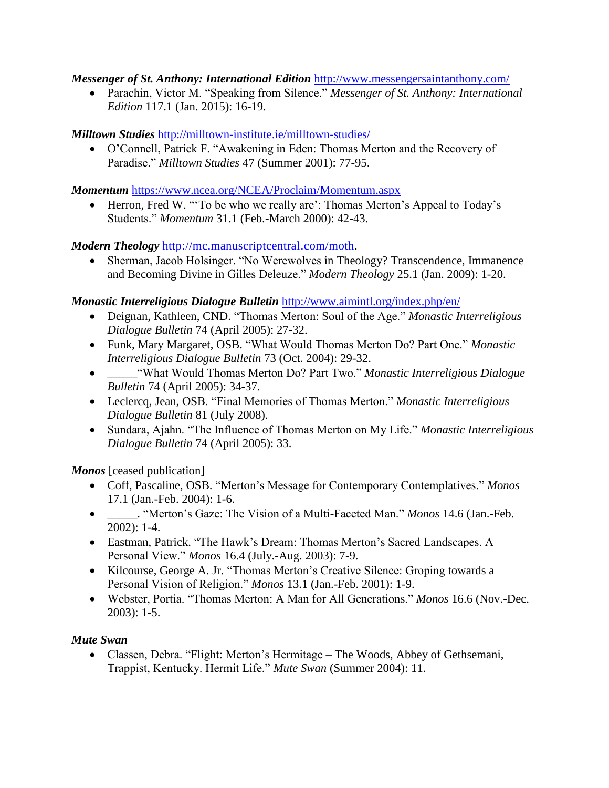#### *Messenger of St. Anthony: International Edition* <http://www.messengersaintanthony.com/>

 Parachin, Victor M. "Speaking from Silence." *Messenger of St. Anthony: International Edition* 117.1 (Jan. 2015): 16-19.

# *Milltown Studies* <http://milltown-institute.ie/milltown-studies/>

 O'Connell, Patrick F. "Awakening in Eden: Thomas Merton and the Recovery of Paradise." *Milltown Studies* 47 (Summer 2001): 77-95.

### *Momentum* <https://www.ncea.org/NCEA/Proclaim/Momentum.aspx>

 Herron, Fred W. "'To be who we really are': Thomas Merton's Appeal to Today's Students." *Momentum* 31.1 (Feb.-March 2000): 42-43.

# *Modern Theology* [http://mc.manuscriptcentral.com/moth.](http://mc.manuscriptcentral.com/moth)

 Sherman, Jacob Holsinger. "No Werewolves in Theology? Transcendence, Immanence and Becoming Divine in Gilles Deleuze." *Modern Theology* 25.1 (Jan. 2009): 1-20.

# *Monastic Interreligious Dialogue Bulletin* <http://www.aimintl.org/index.php/en/>

- Deignan, Kathleen, CND. "Thomas Merton: Soul of the Age." *Monastic Interreligious Dialogue Bulletin* 74 (April 2005): 27-32.
- Funk, Mary Margaret, OSB. "What Would Thomas Merton Do? Part One." *Monastic Interreligious Dialogue Bulletin* 73 (Oct. 2004): 29-32.
- \_\_\_\_\_"What Would Thomas Merton Do? Part Two." *Monastic Interreligious Dialogue Bulletin* 74 (April 2005): 34-37.
- Leclercq, Jean, OSB. "Final Memories of Thomas Merton." *Monastic Interreligious Dialogue Bulletin* 81 (July 2008).
- Sundara, Ajahn. "The Influence of Thomas Merton on My Life." *Monastic Interreligious Dialogue Bulletin* 74 (April 2005): 33.

*Monos* [ceased publication]

- Coff, Pascaline, OSB. "Merton's Message for Contemporary Contemplatives." *Monos*  17.1 (Jan.-Feb. 2004): 1-6.
- \_\_\_\_\_. "Merton's Gaze: The Vision of a Multi-Faceted Man." *Monos* 14.6 (Jan.-Feb. 2002): 1-4.
- Eastman, Patrick. "The Hawk's Dream: Thomas Merton's Sacred Landscapes. A Personal View." *Monos* 16.4 (July.-Aug. 2003): 7-9.
- Kilcourse, George A. Jr. "Thomas Merton's Creative Silence: Groping towards a Personal Vision of Religion." *Monos* 13.1 (Jan.-Feb. 2001): 1-9.
- Webster, Portia. "Thomas Merton: A Man for All Generations." *Monos* 16.6 (Nov.-Dec. 2003): 1-5.

# *Mute Swan*

 Classen, Debra. "Flight: Merton's Hermitage – The Woods, Abbey of Gethsemani, Trappist, Kentucky. Hermit Life." *Mute Swan* (Summer 2004): 11.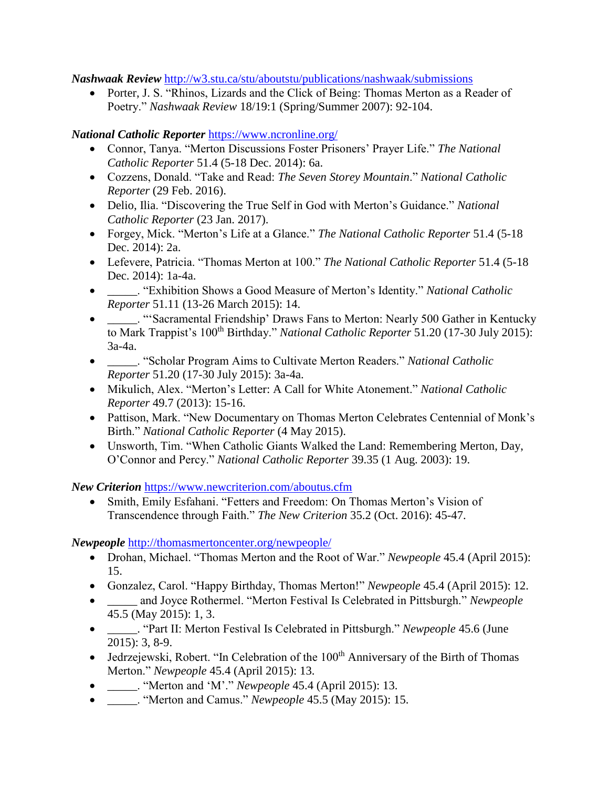*Nashwaak Review* <http://w3.stu.ca/stu/aboutstu/publications/nashwaak/submissions>

• Porter, J. S. "Rhinos, Lizards and the Click of Being: Thomas Merton as a Reader of Poetry." *Nashwaak Review* 18/19:1 (Spring/Summer 2007): 92-104.

### *National Catholic Reporter* <https://www.ncronline.org/>

- Connor, Tanya. "Merton Discussions Foster Prisoners' Prayer Life." *The National Catholic Reporter* 51.4 (5-18 Dec. 2014): 6a.
- Cozzens, Donald. "Take and Read: *The Seven Storey Mountain*." *National Catholic Reporter* (29 Feb. 2016).
- Delio, Ilia. "Discovering the True Self in God with Merton's Guidance." *National Catholic Reporter* (23 Jan. 2017).
- Forgey, Mick. "Merton's Life at a Glance." *The National Catholic Reporter* 51.4 (5-18 Dec. 2014): 2a.
- Lefevere, Patricia. "Thomas Merton at 100." *The National Catholic Reporter* 51.4 (5-18 Dec. 2014): 1a-4a.
- \_\_\_\_\_. "Exhibition Shows a Good Measure of Merton's Identity." *National Catholic Reporter* 51.11 (13-26 March 2015): 14.
- \_\_\_\_\_. "'Sacramental Friendship' Draws Fans to Merton: Nearly 500 Gather in Kentucky to Mark Trappist's 100<sup>th</sup> Birthday." *National Catholic Reporter* 51.20 (17-30 July 2015): 3a-4a.
- \_\_\_\_\_. "Scholar Program Aims to Cultivate Merton Readers." *National Catholic Reporter* 51.20 (17-30 July 2015): 3a-4a.
- Mikulich, Alex. "Merton's Letter: A Call for White Atonement." *National Catholic Reporter* 49.7 (2013): 15-16.
- Pattison, Mark. "New Documentary on Thomas Merton Celebrates Centennial of Monk's Birth." *National Catholic Reporter* (4 May 2015).
- Unsworth, Tim. "When Catholic Giants Walked the Land: Remembering Merton, Day, O'Connor and Percy." *National Catholic Reporter* 39.35 (1 Aug. 2003): 19.

*New Criterion* <https://www.newcriterion.com/aboutus.cfm>

• Smith, Emily Esfahani. "Fetters and Freedom: On Thomas Merton's Vision of Transcendence through Faith." *The New Criterion* 35.2 (Oct. 2016): 45-47.

*Newpeople* <http://thomasmertoncenter.org/newpeople/>

- Drohan, Michael. "Thomas Merton and the Root of War." *Newpeople* 45.4 (April 2015): 15.
- Gonzalez, Carol. "Happy Birthday, Thomas Merton!" *Newpeople* 45.4 (April 2015): 12.
- **\_\_\_\_\_** and Joyce Rothermel. "Merton Festival Is Celebrated in Pittsburgh." *Newpeople* 45.5 (May 2015): 1, 3.
- \_\_\_\_\_. "Part II: Merton Festival Is Celebrated in Pittsburgh." *Newpeople* 45.6 (June 2015): 3, 8-9.
- Jedrzejewski, Robert. "In Celebration of the  $100<sup>th</sup>$  Anniversary of the Birth of Thomas Merton." *Newpeople* 45.4 (April 2015): 13.
- \_\_\_\_\_. "Merton and 'M'." *Newpeople* 45.4 (April 2015): 13.
- \_\_\_\_\_. "Merton and Camus." *Newpeople* 45.5 (May 2015): 15.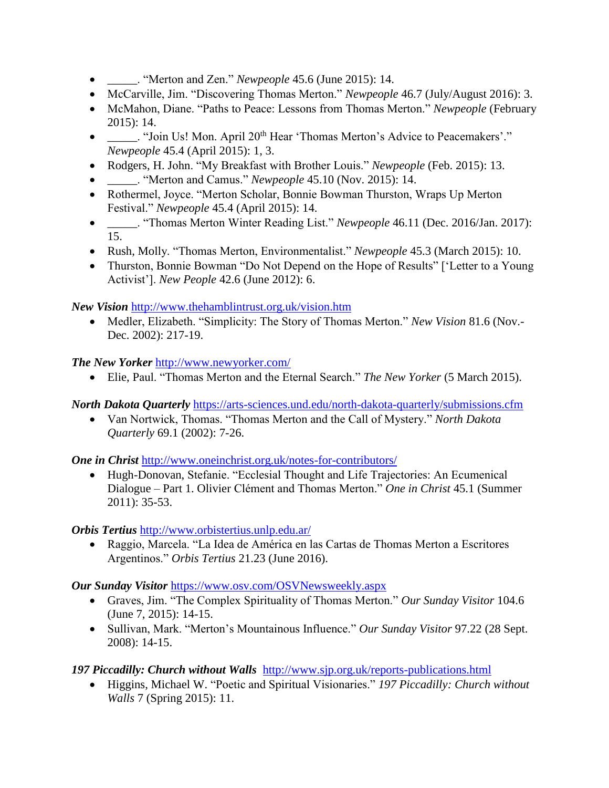- \_\_\_\_\_. "Merton and Zen." *Newpeople* 45.6 (June 2015): 14.
- McCarville, Jim. "Discovering Thomas Merton." *Newpeople* 46.7 (July/August 2016): 3.
- McMahon, Diane. "Paths to Peace: Lessons from Thomas Merton." *Newpeople* (February 2015): 14.
- \_\_\_\_\_. "Join Us! Mon. April 20<sup>th</sup> Hear 'Thomas Merton's Advice to Peacemakers'." *Newpeople* 45.4 (April 2015): 1, 3.
- Rodgers, H. John. "My Breakfast with Brother Louis." *Newpeople* (Feb. 2015): 13.
- \_\_\_\_\_. "Merton and Camus." *Newpeople* 45.10 (Nov. 2015): 14.
- Rothermel, Joyce. "Merton Scholar, Bonnie Bowman Thurston, Wraps Up Merton Festival." *Newpeople* 45.4 (April 2015): 14.
- \_\_\_\_\_. "Thomas Merton Winter Reading List." *Newpeople* 46.11 (Dec. 2016/Jan. 2017): 15.
- Rush, Molly. "Thomas Merton, Environmentalist." *Newpeople* 45.3 (March 2015): 10.
- Thurston, Bonnie Bowman "Do Not Depend on the Hope of Results" ['Letter to a Young Activist']. *New People* 42.6 (June 2012): 6.

*New Vision* <http://www.thehamblintrust.org.uk/vision.htm>

 Medler, Elizabeth. "Simplicity: The Story of Thomas Merton." *New Vision* 81.6 (Nov.- Dec. 2002): 217-19.

*The New Yorker* <http://www.newyorker.com/>

Elie, Paul. "Thomas Merton and the Eternal Search." *The New Yorker* (5 March 2015).

*North Dakota Quarterly* <https://arts-sciences.und.edu/north-dakota-quarterly/submissions.cfm>

 Van Nortwick, Thomas. "Thomas Merton and the Call of Mystery." *North Dakota Quarterly* 69.1 (2002): 7-26.

*One in Christ <http://www.oneinchrist.org.uk/notes-for-contributors/>* 

 Hugh-Donovan, Stefanie. "Ecclesial Thought and Life Trajectories: An Ecumenical Dialogue – Part 1. Olivier Clément and Thomas Merton." *One in Christ* 45.1 (Summer 2011): 35-53.

*Orbis Tertius* <http://www.orbistertius.unlp.edu.ar/>

 Raggio, Marcela. "La Idea de América en las Cartas de Thomas Merton a Escritores Argentinos." *Orbis Tertius* 21.23 (June 2016).

*Our Sunday Visitor* <https://www.osv.com/OSVNewsweekly.aspx>

- Graves, Jim. "The Complex Spirituality of Thomas Merton." *Our Sunday Visitor* 104.6 (June 7, 2015): 14-15.
- Sullivan, Mark. "Merton's Mountainous Influence." *Our Sunday Visitor* 97.22 (28 Sept. 2008): 14-15.

# *197 Piccadilly: Church without Walls* <http://www.sjp.org.uk/reports-publications.html>

 Higgins, Michael W. "Poetic and Spiritual Visionaries." *197 Piccadilly: Church without Walls* 7 (Spring 2015): 11.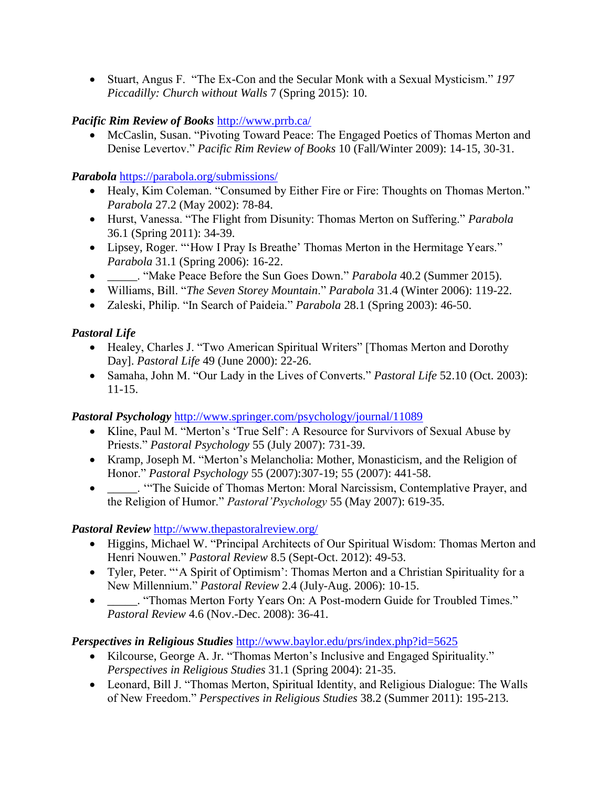Stuart, Angus F. "The Ex-Con and the Secular Monk with a Sexual Mysticism." *197 Piccadilly: Church without Walls* 7 (Spring 2015): 10.

# *Pacific Rim Review of Books* <http://www.prrb.ca/>

 McCaslin, Susan. "Pivoting Toward Peace: The Engaged Poetics of Thomas Merton and Denise Levertov." *Pacific Rim Review of Books* 10 (Fall/Winter 2009): 14-15, 30-31.

# *Parabola* <https://parabola.org/submissions/>

- Healy, Kim Coleman. "Consumed by Either Fire or Fire: Thoughts on Thomas Merton." *Parabola* 27.2 (May 2002): 78-84.
- Hurst, Vanessa. "The Flight from Disunity: Thomas Merton on Suffering." *Parabola*  36.1 (Spring 2011): 34-39.
- Lipsey, Roger. "'How I Pray Is Breathe' Thomas Merton in the Hermitage Years." *Parabola* 31.1 (Spring 2006): 16-22.
- \_\_\_\_\_. "Make Peace Before the Sun Goes Down." *Parabola* 40.2 (Summer 2015).
- Williams, Bill. "*The Seven Storey Mountain*." *Parabola* 31.4 (Winter 2006): 119-22.
- Zaleski, Philip. "In Search of Paideia." *Parabola* 28.1 (Spring 2003): 46-50.

# *Pastoral Life*

- Healey, Charles J. "Two American Spiritual Writers" [Thomas Merton and Dorothy Day]. *Pastoral Life* 49 (June 2000): 22-26.
- Samaha, John M. "Our Lady in the Lives of Converts." *Pastoral Life* 52.10 (Oct. 2003): 11-15.

# *Pastoral Psychology* <http://www.springer.com/psychology/journal/11089>

- Kline, Paul M. "Merton's 'True Self': A Resource for Survivors of Sexual Abuse by Priests." *Pastoral Psychology* 55 (July 2007): 731-39.
- Kramp, Joseph M. "Merton's Melancholia: Mother, Monasticism, and the Religion of Honor." *Pastoral Psychology* 55 (2007):307-19; 55 (2007): 441-58.
- \_\_\_\_\_. '"The Suicide of Thomas Merton: Moral Narcissism, Contemplative Prayer, and the Religion of Humor." *Pastoral'Psychology* 55 (May 2007): 619-35.

# *Pastoral Review* <http://www.thepastoralreview.org/>

- Higgins, Michael W. "Principal Architects of Our Spiritual Wisdom: Thomas Merton and Henri Nouwen." *Pastoral Review* 8.5 (Sept-Oct. 2012): 49-53.
- Tyler, Peter. "'A Spirit of Optimism': Thomas Merton and a Christian Spirituality for a New Millennium." *Pastoral Review* 2.4 (July-Aug. 2006): 10-15.
- \_\_\_\_\_. "Thomas Merton Forty Years On: A Post-modern Guide for Troubled Times." *Pastoral Review* 4.6 (Nov.-Dec. 2008): 36-41.

# *Perspectives in Religious Studies* <http://www.baylor.edu/prs/index.php?id=5625>

- Kilcourse, George A. Jr. "Thomas Merton's Inclusive and Engaged Spirituality." *Perspectives in Religious Studies* 31.1 (Spring 2004): 21-35.
- Leonard, Bill J. "Thomas Merton, Spiritual Identity, and Religious Dialogue: The Walls of New Freedom." *Perspectives in Religious Studies* 38.2 (Summer 2011): 195-213.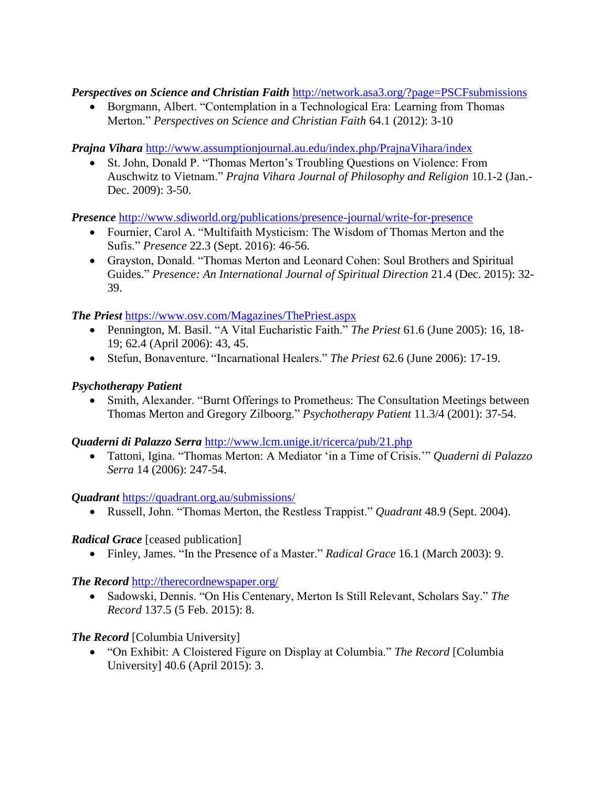*Perspectives on Science and Christian Faith* <http://network.asa3.org/?page=PSCFsubmissions>

• Borgmann, Albert. "Contemplation in a Technological Era: Learning from Thomas Merton." *Perspectives on Science and Christian Faith* 64.1 (2012): 3-10

*Prajna Vihara* <http://www.assumptionjournal.au.edu/index.php/PrajnaVihara/index>

 St. John, Donald P. "Thomas Merton's Troubling Questions on Violence: From Auschwitz to Vietnam." *Prajna Vihara Journal of Philosophy and Religion* 10.1-2 (Jan.- Dec. 2009): 3-50.

*Presence* <http://www.sdiworld.org/publications/presence-journal/write-for-presence>

- Fournier, Carol A. "Multifaith Mysticism: The Wisdom of Thomas Merton and the Sufis." *Presence* 22.3 (Sept. 2016): 46-56.
- Grayston, Donald. "Thomas Merton and Leonard Cohen: Soul Brothers and Spiritual Guides." *Presence: An International Journal of Spiritual Direction* 21.4 (Dec. 2015): 32- 39.

*The Priest* <https://www.osv.com/Magazines/ThePriest.aspx>

- Pennington, M. Basil. "A Vital Eucharistic Faith." *The Priest* 61.6 (June 2005): 16, 18- 19; 62.4 (April 2006): 43, 45.
- Stefun, Bonaventure. "Incarnational Healers." *The Priest* 62.6 (June 2006): 17-19.

# *Psychotherapy Patient*

 Smith, Alexander. "Burnt Offerings to Prometheus: The Consultation Meetings between Thomas Merton and Gregory Zilboorg." *Psychotherapy Patient* 11.3/4 (2001): 37-54.

*Quaderni di Palazzo Serra* <http://www.lcm.unige.it/ricerca/pub/21.php>

 Tattoni, Igina. "Thomas Merton: A Mediator 'in a Time of Crisis.'" *Quaderni di Palazzo Serra* 14 (2006): 247-54.

*Quadrant* <https://quadrant.org.au/submissions/>

Russell, John. "Thomas Merton, the Restless Trappist." *Quadrant* 48.9 (Sept. 2004).

# *Radical Grace* [ceased publication]

Finley, James. "In the Presence of a Master." *Radical Grace* 16.1 (March 2003): 9.

# *The Record* <http://therecordnewspaper.org/>

 Sadowski, Dennis. "On His Centenary, Merton Is Still Relevant, Scholars Say." *The Record* 137.5 (5 Feb. 2015): 8.

# *The Record* [Columbia University]

 "On Exhibit: A Cloistered Figure on Display at Columbia." *The Record* [Columbia University] 40.6 (April 2015): 3.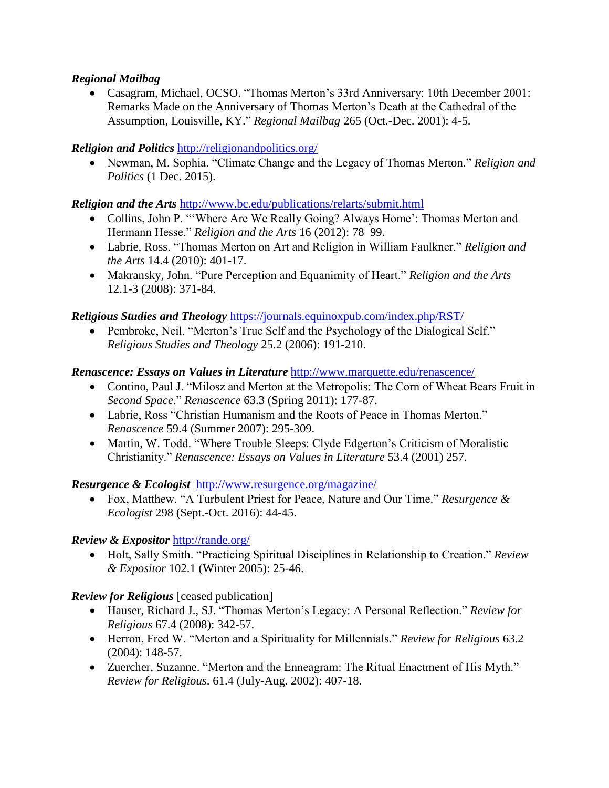### *Regional Mailbag*

 Casagram, Michael, OCSO. "Thomas Merton's 33rd Anniversary: 10th December 2001: Remarks Made on the Anniversary of Thomas Merton's Death at the Cathedral of the Assumption, Louisville, KY." *Regional Mailbag* 265 (Oct.-Dec. 2001): 4-5.

### *Religion and Politics* <http://religionandpolitics.org/>

 Newman, M. Sophia. "Climate Change and the Legacy of Thomas Merton." *Religion and Politics* (1 Dec. 2015).

### *Religion and the Arts* <http://www.bc.edu/publications/relarts/submit.html>

- Collins, John P. ""Where Are We Really Going? Always Home': Thomas Merton and Hermann Hesse." *Religion and the Arts* 16 (2012): 78–99.
- Labrie, Ross. "Thomas Merton on Art and Religion in William Faulkner." *Religion and the Arts* 14.4 (2010): 401-17.
- Makransky, John. "Pure Perception and Equanimity of Heart." *Religion and the Arts*  12.1-3 (2008): 371-84.

### *Religious Studies and Theology* <https://journals.equinoxpub.com/index.php/RST/>

• Pembroke, Neil. "Merton's True Self and the Psychology of the Dialogical Self." *Religious Studies and Theology* 25.2 (2006): 191-210.

### *Renascence: Essays on Values in Literature* <http://www.marquette.edu/renascence/>

- Contino, Paul J. "Milosz and Merton at the Metropolis: The Corn of Wheat Bears Fruit in *Second Space*." *Renascence* 63.3 (Spring 2011): 177-87.
- Labrie, Ross "Christian Humanism and the Roots of Peace in Thomas Merton." *Renascence* 59.4 (Summer 2007): 295-309.
- Martin, W. Todd. "Where Trouble Sleeps: Clyde Edgerton's Criticism of Moralistic Christianity." *Renascence: Essays on Values in Literature* 53.4 (2001) 257.

#### *Resurgence & Ecologist* <http://www.resurgence.org/magazine/>

 Fox, Matthew. "A Turbulent Priest for Peace, Nature and Our Time." *Resurgence & Ecologist* 298 (Sept.-Oct. 2016): 44-45.

# *Review & Expositor* <http://rande.org/>

 Holt, Sally Smith. "Practicing Spiritual Disciplines in Relationship to Creation." *Review & Expositor* 102.1 (Winter 2005): 25-46.

# *Review for Religious* [ceased publication]

- Hauser, Richard J., SJ. "Thomas Merton's Legacy: A Personal Reflection." *Review for Religious* 67.4 (2008): 342-57.
- Herron, Fred W. "Merton and a Spirituality for Millennials." *Review for Religious* 63.2 (2004): 148-57.
- Zuercher, Suzanne. "Merton and the Enneagram: The Ritual Enactment of His Myth." *Review for Religious*. 61.4 (July-Aug. 2002): 407-18.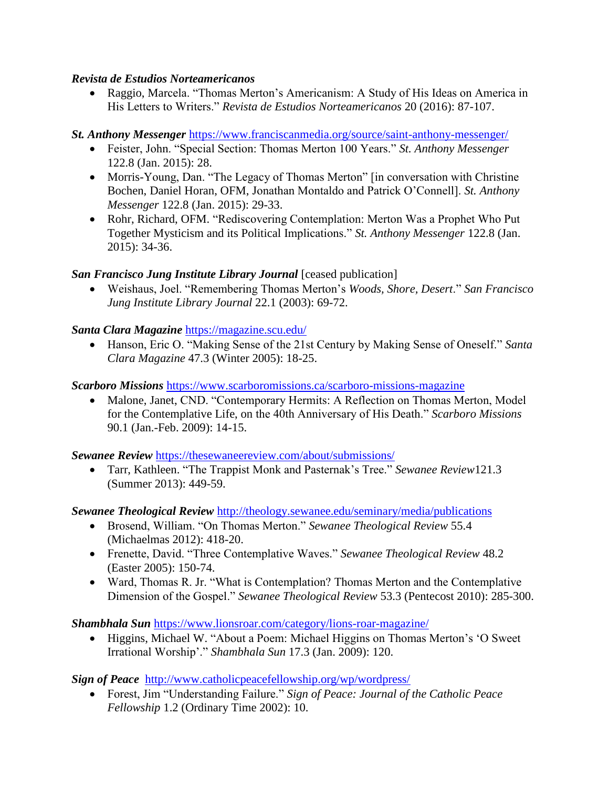#### *Revista de Estudios Norteamericanos*

 Raggio, Marcela. "Thomas Merton's Americanism: A Study of His Ideas on America in His Letters to Writers." *Revista de Estudios Norteamericanos* 20 (2016): 87-107.

# *St. Anthony Messenger* <https://www.franciscanmedia.org/source/saint-anthony-messenger/>

- Feister, John. "Special Section: Thomas Merton 100 Years." *St. Anthony Messenger*  122.8 (Jan. 2015): 28.
- Morris-Young, Dan. "The Legacy of Thomas Merton" [in conversation with Christine Bochen, Daniel Horan, OFM, Jonathan Montaldo and Patrick O'Connell]. *St. Anthony Messenger* 122.8 (Jan. 2015): 29-33.
- Rohr, Richard, OFM. "Rediscovering Contemplation: Merton Was a Prophet Who Put Together Mysticism and its Political Implications." *St. Anthony Messenger* 122.8 (Jan. 2015): 34-36.

# *San Francisco Jung Institute Library Journal* [ceased publication]

 Weishaus, Joel. "Remembering Thomas Merton's *Woods, Shore, Desert*." *San Francisco Jung Institute Library Journal* 22.1 (2003): 69-72.

# *Santa Clara Magazine* <https://magazine.scu.edu/>

 Hanson, Eric O. "Making Sense of the 21st Century by Making Sense of Oneself." *Santa Clara Magazine* 47.3 (Winter 2005): 18-25.

# *Scarboro Missions* <https://www.scarboromissions.ca/scarboro-missions-magazine>

• Malone, Janet, CND. "Contemporary Hermits: A Reflection on Thomas Merton, Model for the Contemplative Life, on the 40th Anniversary of His Death." *Scarboro Missions*  90.1 (Jan.-Feb. 2009): 14-15.

# *Sewanee Review* <https://thesewaneereview.com/about/submissions/>

 Tarr, Kathleen. "The Trappist Monk and Pasternak's Tree." *Sewanee Review*121.3 (Summer 2013): 449-59.

# *Sewanee Theological Review* <http://theology.sewanee.edu/seminary/media/publications>

- Brosend, William. "On Thomas Merton." *Sewanee Theological Review* 55.4 (Michaelmas 2012): 418-20.
- Frenette, David. "Three Contemplative Waves." *Sewanee Theological Review* 48.2 (Easter 2005): 150-74.
- Ward, Thomas R. Jr. "What is Contemplation? Thomas Merton and the Contemplative Dimension of the Gospel." *Sewanee Theological Review* 53.3 (Pentecost 2010): 285-300.

# *Shambhala Sun* <https://www.lionsroar.com/category/lions-roar-magazine/>

 Higgins, Michael W. "About a Poem: Michael Higgins on Thomas Merton's 'O Sweet Irrational Worship'." *Shambhala Sun* 17.3 (Jan. 2009): 120.

*Sign of Peace* <http://www.catholicpeacefellowship.org/wp/wordpress/>

 Forest, Jim "Understanding Failure." *Sign of Peace: Journal of the Catholic Peace Fellowship* 1.2 (Ordinary Time 2002): 10.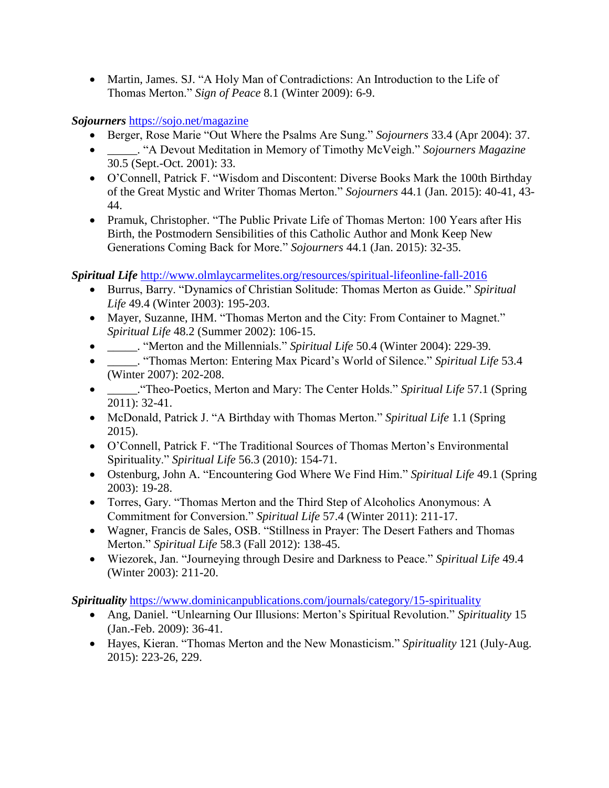• Martin, James. SJ. "A Holy Man of Contradictions: An Introduction to the Life of Thomas Merton." *Sign of Peace* 8.1 (Winter 2009): 6-9.

*Sojourners* <https://sojo.net/magazine>

- Berger, Rose Marie "Out Where the Psalms Are Sung." *Sojourners* 33.4 (Apr 2004): 37.
- \_\_\_\_\_. "A Devout Meditation in Memory of Timothy McVeigh." *Sojourners Magazine*  30.5 (Sept.-Oct. 2001): 33.
- O'Connell, Patrick F. "Wisdom and Discontent: Diverse Books Mark the 100th Birthday of the Great Mystic and Writer Thomas Merton." *Sojourners* 44.1 (Jan. 2015): 40-41, 43- 44.
- Pramuk, Christopher. "The Public Private Life of Thomas Merton: 100 Years after His Birth, the Postmodern Sensibilities of this Catholic Author and Monk Keep New Generations Coming Back for More." *Sojourners* 44.1 (Jan. 2015): 32-35.

*Spiritual Life* <http://www.olmlaycarmelites.org/resources/spiritual-lifeonline-fall-2016>

- Burrus, Barry. "Dynamics of Christian Solitude: Thomas Merton as Guide." *Spiritual Life* 49.4 (Winter 2003): 195-203.
- Mayer, Suzanne, IHM. "Thomas Merton and the City: From Container to Magnet." *Spiritual Life* 48.2 (Summer 2002): 106-15.
- \_\_\_\_\_. "Merton and the Millennials." *Spiritual Life* 50.4 (Winter 2004): 229-39.
- \_\_\_\_\_. "Thomas Merton: Entering Max Picard's World of Silence." *Spiritual Life* 53.4 (Winter 2007): 202-208.
- \_\_\_\_\_."Theo-Poetics, Merton and Mary: The Center Holds." *Spiritual Life* 57.1 (Spring 2011): 32-41.
- McDonald, Patrick J. "A Birthday with Thomas Merton." *Spiritual Life* 1.1 (Spring 2015).
- O'Connell, Patrick F. "The Traditional Sources of Thomas Merton's Environmental Spirituality." *Spiritual Life* 56.3 (2010): 154-71.
- Ostenburg, John A. "Encountering God Where We Find Him." *Spiritual Life* 49.1 (Spring 2003): 19-28.
- Torres, Gary. "Thomas Merton and the Third Step of Alcoholics Anonymous: A Commitment for Conversion." *Spiritual Life* 57.4 (Winter 2011): 211-17.
- Wagner, Francis de Sales, OSB. "Stillness in Prayer: The Desert Fathers and Thomas Merton." *Spiritual Life* 58.3 (Fall 2012): 138-45.
- Wiezorek, Jan. "Journeying through Desire and Darkness to Peace." *Spiritual Life* 49.4 (Winter 2003): 211-20.

*Spirituality* <https://www.dominicanpublications.com/journals/category/15-spirituality>

- Ang, Daniel. "Unlearning Our Illusions: Merton's Spiritual Revolution." *Spirituality* 15 (Jan.-Feb. 2009): 36-41.
- Hayes, Kieran. "Thomas Merton and the New Monasticism." *Spirituality* 121 (July-Aug. 2015): 223-26, 229.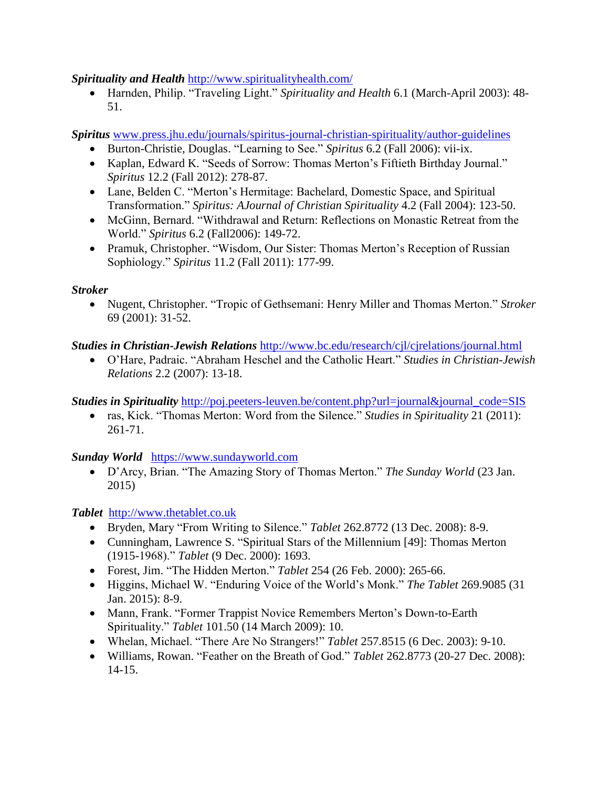*Spirituality and Health* <http://www.spiritualityhealth.com/>

 Harnden, Philip. "Traveling Light." *Spirituality and Health* 6.1 (March-April 2003): 48- 51.

*Spiritus* [www.press.jhu.edu/journals/spiritus-journal-christian-spirituality/author-guidelines](http://www.press.jhu.edu/journals/spiritus-journal-christian-spirituality/author-guidelines)

- Burton-Christie, Douglas. "Learning to See." *Spiritus* 6.2 (Fall 2006): vii-ix.
- Kaplan, Edward K. "Seeds of Sorrow: Thomas Merton's Fiftieth Birthday Journal." *Spiritus* 12.2 (Fall 2012): 278-87.
- Lane, Belden C. "Merton's Hermitage: Bachelard, Domestic Space, and Spiritual Transformation." *Spiritus: AJournal of Christian Spirituality* 4.2 (Fall 2004): 123-50.
- McGinn, Bernard. "Withdrawal and Return: Reflections on Monastic Retreat from the World." *Spiritus* 6.2 (Fall2006): 149-72.
- Pramuk, Christopher. "Wisdom, Our Sister: Thomas Merton's Reception of Russian Sophiology." *Spiritus* 11.2 (Fall 2011): 177-99.

# *Stroker*

 Nugent, Christopher. "Tropic of Gethsemani: Henry Miller and Thomas Merton." *Stroker*  69 (2001): 31-52.

# *Studies in Christian-Jewish Relations* <http://www.bc.edu/research/cjl/cjrelations/journal.html>

 O'Hare, Padraic. "Abraham Heschel and the Catholic Heart." *Studies in Christian-Jewish Relations* 2.2 (2007): 13-18.

# *Studies in Spirituality* [http://poj.peeters-leuven.be/content.php?url=journal&journal\\_code=SIS](http://poj.peeters-leuven.be/content.php?url=journal&journal_code=SIS)

 ras, Kick. "Thomas Merton: Word from the Silence." *Studies in Spirituality* 21 (2011): 261-71.

*Sunday World*[https://www.sundayworld.com](https://www.sundayworld.com/)

 D'Arcy, Brian. "The Amazing Story of Thomas Merton." *The Sunday World* (23 Jan. 2015)

# *Tablet* [http://www.thetablet.co.uk](http://www.thetablet.co.uk/)

- Bryden, Mary "From Writing to Silence." *Tablet* 262.8772 (13 Dec. 2008): 8-9.
- Cunningham, Lawrence S. "Spiritual Stars of the Millennium [49]: Thomas Merton (1915-1968)." *Tablet* (9 Dec. 2000): 1693.
- Forest, Jim. "The Hidden Merton." *Tablet* 254 (26 Feb. 2000): 265-66.
- Higgins, Michael W. "Enduring Voice of the World's Monk." *The Tablet* 269.9085 (31 Jan. 2015): 8-9.
- Mann, Frank. "Former Trappist Novice Remembers Merton's Down-to-Earth Spirituality." *Tablet* 101.50 (14 March 2009): 10.
- Whelan, Michael. "There Are No Strangers!" *Tablet* 257.8515 (6 Dec. 2003): 9-10.
- Williams, Rowan. "Feather on the Breath of God." *Tablet* 262.8773 (20-27 Dec. 2008): 14-15.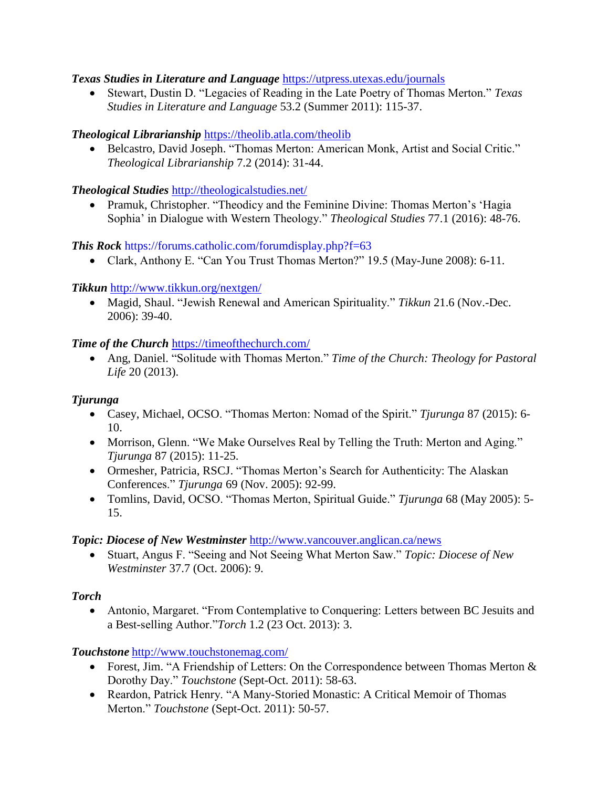#### *Texas Studies in Literature and Language* <https://utpress.utexas.edu/journals>

 Stewart, Dustin D. "Legacies of Reading in the Late Poetry of Thomas Merton." *Texas Studies in Literature and Language* 53.2 (Summer 2011): 115-37.

### *Theological Librarianship* <https://theolib.atla.com/theolib>

 Belcastro, David Joseph. "Thomas Merton: American Monk, Artist and Social Critic." *Theological Librarianship* 7.2 (2014): 31-44.

### *Theological Studies* <http://theologicalstudies.net/>

 Pramuk, Christopher. "Theodicy and the Feminine Divine: Thomas Merton's 'Hagia Sophia' in Dialogue with Western Theology." *Theological Studies* 77.1 (2016): 48-76.

### *This Rock* <https://forums.catholic.com/forumdisplay.php?f=63>

Clark, Anthony E. "Can You Trust Thomas Merton?" 19.5 (May-June 2008): 6-11.

### *Tikkun* <http://www.tikkun.org/nextgen/>

 Magid, Shaul. "Jewish Renewal and American Spirituality." *Tikkun* 21.6 (Nov.-Dec. 2006): 39-40.

#### *Time of the Church* <https://timeofthechurch.com/>

 Ang, Daniel. "Solitude with Thomas Merton." *Time of the Church: Theology for Pastoral Life* 20 (2013).

### *Tjurunga*

- Casey, Michael, OCSO. "Thomas Merton: Nomad of the Spirit." *Tjurunga* 87 (2015): 6- 10.
- Morrison, Glenn. "We Make Ourselves Real by Telling the Truth: Merton and Aging." *Tjurunga* 87 (2015): 11-25.
- Ormesher, Patricia, RSCJ. "Thomas Merton's Search for Authenticity: The Alaskan Conferences." *Tjurunga* 69 (Nov. 2005): 92-99.
- Tomlins, David, OCSO. "Thomas Merton, Spiritual Guide." *Tjurunga* 68 (May 2005): 5- 15.

#### *Topic: Diocese of New Westminster* <http://www.vancouver.anglican.ca/news>

 Stuart, Angus F. "Seeing and Not Seeing What Merton Saw." *Topic: Diocese of New Westminster* 37.7 (Oct. 2006): 9.

# *Torch*

 Antonio, Margaret. "From Contemplative to Conquering: Letters between BC Jesuits and a Best-selling Author."*Torch* 1.2 (23 Oct. 2013): 3.

#### *Touchstone* <http://www.touchstonemag.com/>

- Forest, Jim. "A Friendship of Letters: On the Correspondence between Thomas Merton & Dorothy Day." *Touchstone* (Sept-Oct. 2011): 58-63.
- Reardon, Patrick Henry. "A Many-Storied Monastic: A Critical Memoir of Thomas Merton." *Touchstone* (Sept-Oct. 2011): 50-57.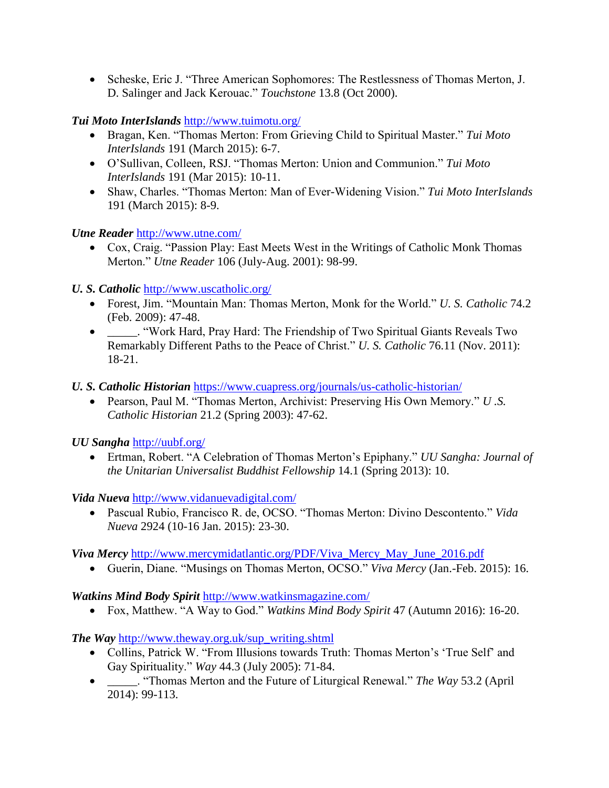• Scheske, Eric J. "Three American Sophomores: The Restlessness of Thomas Merton, J. D. Salinger and Jack Kerouac." *Touchstone* 13.8 (Oct 2000).

*Tui Moto InterIslands* <http://www.tuimotu.org/>

- Bragan, Ken. "Thomas Merton: From Grieving Child to Spiritual Master." *Tui Moto InterIslands* 191 (March 2015): 6-7.
- O'Sullivan, Colleen, RSJ. "Thomas Merton: Union and Communion." *Tui Moto InterIslands* 191 (Mar 2015): 10-11.
- Shaw, Charles. "Thomas Merton: Man of Ever-Widening Vision." *Tui Moto InterIslands*  191 (March 2015): 8-9.

*Utne Reader* <http://www.utne.com/>

 Cox, Craig. "Passion Play: East Meets West in the Writings of Catholic Monk Thomas Merton." *Utne Reader* 106 (July-Aug. 2001): 98-99.

*U. S. Catholic* <http://www.uscatholic.org/>

- Forest, Jim. "Mountain Man: Thomas Merton, Monk for the World." *U. S. Catholic* 74.2 (Feb. 2009): 47-48.
- \_\_\_\_\_. "Work Hard, Pray Hard: The Friendship of Two Spiritual Giants Reveals Two Remarkably Different Paths to the Peace of Christ." *U. S. Catholic* 76.11 (Nov. 2011): 18-21.
- *U. S. Catholic Historian* <https://www.cuapress.org/journals/us-catholic-historian/>
	- Pearson, Paul M. "Thomas Merton, Archivist: Preserving His Own Memory." *U .S. Catholic Historian* 21.2 (Spring 2003): 47-62.

*UU Sangha* <http://uubf.org/>

 Ertman, Robert. "A Celebration of Thomas Merton's Epiphany." *UU Sangha: Journal of the Unitarian Universalist Buddhist Fellowship* 14.1 (Spring 2013): 10.

*Vida Nueva* <http://www.vidanuevadigital.com/>

 Pascual Rubio, Francisco R. de, OCSO. "Thomas Merton: Divino Descontento." *Vida Nueva* 2924 (10-16 Jan. 2015): 23-30.

*Viva Mercy* [http://www.mercymidatlantic.org/PDF/Viva\\_Mercy\\_May\\_June\\_2016.pdf](http://www.mercymidatlantic.org/PDF/Viva_Mercy_May_June_2016.pdf)

Guerin, Diane. "Musings on Thomas Merton, OCSO." *Viva Mercy* (Jan.-Feb. 2015): 16.

# *Watkins Mind Body Spirit* <http://www.watkinsmagazine.com/>

Fox, Matthew. "A Way to God." *Watkins Mind Body Spirit* 47 (Autumn 2016): 16-20.

*The Way* [http://www.theway.org.uk/sup\\_writing.shtml](http://www.theway.org.uk/sup_writing.shtml)

- Collins, Patrick W. "From Illusions towards Truth: Thomas Merton's 'True Self' and Gay Spirituality." *Way* 44.3 (July 2005): 71-84.
- \_\_\_\_\_. "Thomas Merton and the Future of Liturgical Renewal." *The Way* 53.2 (April 2014): 99-113.